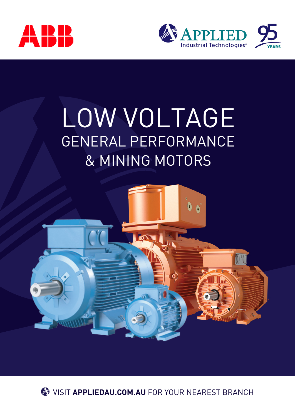



# LOW VOLTAGE GENERAL PERFORMANCE & MINING MOTORS



**W** VISIT APPLIEDAU.COM.AU FOR YOUR NEAREST BRANCH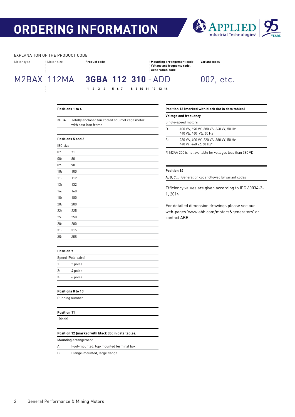## **ORDERING INFORMATION**



#### EXPLANATION OF THE PRODUCT CODE

| Motor type | Motor size  | Product code                     | Mounting arrangement code,<br>Voltage and frequency code,<br><b>Generation code</b> | <b>Variant codes</b> |
|------------|-------------|----------------------------------|-------------------------------------------------------------------------------------|----------------------|
|            | M2BAX 112MA | 3GBA 112 310 - ADD               |                                                                                     | 002, etc.            |
|            |             | 1 2 3 4 5 6 7 8 9 10 11 12 13 14 |                                                                                     |                      |

#### **Positions 1 to 4**

| 3GBA:           | Totally enclosed fan cooled squirrel cage motor<br>with cast iron frame |
|-----------------|-------------------------------------------------------------------------|
|                 |                                                                         |
|                 | Positions 5 and 6                                                       |
| <b>IEC</b> size |                                                                         |
| 07:             | 71                                                                      |
| 08:             | 80                                                                      |
| 09:             | 90                                                                      |
| 10:             | 100                                                                     |
| 11:             | 112                                                                     |
| 13:             | 132                                                                     |
| 16:             | 160                                                                     |
| 18:             | 180                                                                     |
| 20:             | 200                                                                     |
| 22:             | 225                                                                     |
| 25:             | 250                                                                     |
| 28:             | 280                                                                     |
| 31:             | 315                                                                     |
| 35:             | 355                                                                     |

### **Position 13 (marked with black dot in data tables)**

#### **Voltage and frequency**

|    | Single-speed motors                                                              |
|----|----------------------------------------------------------------------------------|
| D: | 400 VA. 690 VY. 380 VA. 660 VY. 50 Hz<br>440 V $\Delta$ , 460 V $\Delta$ , 60 Hz |
| S: | 230 VA, 400 VY, 220 VA, 380 VY, 50 Hz<br>440 VY, 460 VA 60 Hz*                   |
|    |                                                                                  |

\*) M2AA 200 is not available for voltages less than 380 VD

#### **Position 14**

**A, B, C...**= Generation code followed by variant codes

Efficiency values are given according to IEC 60034-2- 1; 2014

For detailed dimension drawings please see our web-pages 'www.abb.com/motors&generators' or contact ABB.

#### **Position 7**

| 2 poles |                    |  |
|---------|--------------------|--|
| 4 poles |                    |  |
| 6 poles |                    |  |
|         | Speed (Pole pairs) |  |

#### **Positions 8 to 10**

Running number

**Position 11**

-(dash)

#### **Position 12 (marked with black dot in data tables)**

Mounting arrangement

A: Foot-mounted, top-mounted terminal box

B: Flange-mounted, large flange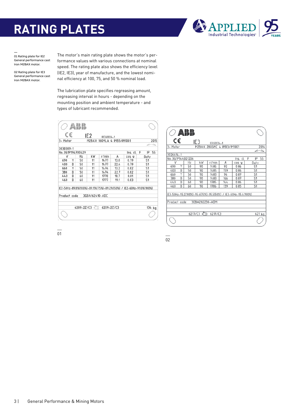## **RATING PLATES**



01 Rating plate for IE2 General performance cast iron M2BAX motor.

02 Rating plate for IE3 General performance cast iron M2BAX motor.

The motor's main rating plate shows the motor's performance values with various connections at nominal speed. The rating plate also shows the efficiency level (IE2, IE3), year of manufacture, and the lowest nominal efficiency at 100, 75, and 50 % nominal load.

The lubrication plate specifies regreasing amount, regreasing interval in hours - depending on the mounting position and ambient temperature - and types of lubricant recommended.

| 3-Motor           |   |    | M2BAX            | IEC60034-1<br>160MLA 4 IMB3/IM1001 |      |                                                                   | 2015<br>$\tilde{\phantom{a}}$ |
|-------------------|---|----|------------------|------------------------------------|------|-------------------------------------------------------------------|-------------------------------|
| 3030389-1         |   |    |                  |                                    |      |                                                                   |                               |
| No. 3G1P194700429 |   |    |                  |                                    |      | Ins. cl.                                                          | F<br>55<br>IP                 |
| ٧                 |   | Hz | kW               | r/min                              | А    | $cos \phi$                                                        | Duty                          |
| 690               | Y | 50 | 11               | 1477                               | 13.0 | 0.79                                                              | S1                            |
| 400               | D | 50 | 11               | 1477                               | 22.4 | 0.79                                                              | S <sub>1</sub>                |
| 660               | Y | 50 | 11               | 1474                               | 13.2 | 0.82                                                              | S1                            |
| 380               | D | 50 | 11               | 1474                               | 22.7 | 0.82                                                              | S <sub>1</sub>                |
| 440               | D | 60 | 11               | 1778                               | 18.7 | 0.81                                                              | S1                            |
| 460               | D | 60 | 11               | 1777                               | 19.1 | 0.83                                                              | S <sub>1</sub>                |
|                   |   |    |                  |                                    |      | IE2-50Hz-89.8%(100%)-89.9%(75%)-89.2%(50%) / IE2-60Hz-91.0%(100%) |                               |
| Product code      |   |    | 3GBA162410-ADC   |                                    |      |                                                                   |                               |
|                   |   |    | $6209 - 27 / C3$ | 6209-2Z/C3                         |      |                                                                   | 134 kg                        |

| $\supset$ and     |   |    |                      |            |                                                               |          |                |
|-------------------|---|----|----------------------|------------|---------------------------------------------------------------|----------|----------------|
| C€                |   |    | IE <sub>3</sub>      | IEC60034-1 |                                                               |          |                |
| 3- Motor          |   |    |                      |            | M2BAX 280SMC 4 IMB3/IM1001                                    |          | 2014           |
|                   |   |    |                      |            |                                                               |          | ∠⊸             |
| 3026614-1         |   |    |                      |            |                                                               |          |                |
| No. 3G1P144001206 |   |    |                      |            |                                                               | Ins. cl. | F<br>55<br>ΙP  |
| ν                 |   | Hz | kW                   | r/min      | A                                                             | cos φ    | Duty           |
| 690               | Υ | 50 | 90                   | 1485       | 92                                                            | 0.86     | S <sub>1</sub> |
| 400               | D | 50 | 90                   | 1485       | 159                                                           | 0.86     | S <sub>1</sub> |
| 660               | Υ | 50 | 90                   | 1483       | 96                                                            | 0.87     | <b>S1</b>      |
| 380               | D | 50 | 90                   | 1483       | 166                                                           | 0.87     | S <sub>1</sub> |
| 440               | D | 60 | 90                   | 1785       | 144                                                           | 0.86     | S <sub>1</sub> |
| 460               | D | 60 | 90                   | 1786       | 139                                                           | 0.85     | S <sub>1</sub> |
| Product code      |   |    | 3GBA282230-ADM       |            | IE3-50Hz-95.2(100%)-95.6(75%)-95.5(50%) / IE3-60Hz-95.4(100%) |          |                |
|                   |   |    | $6217/C3$ $\sqrt{2}$ | 6217/C3    |                                                               |          | 621 kg         |
|                   |   |    |                      |            |                                                               |          |                |

 $\overline{\phantom{a}}$ 01

 $\overline{\phantom{a}}$ 02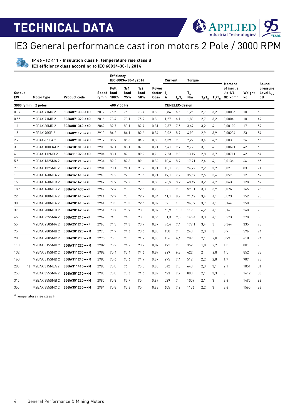60

**APPLIED** 

# IE3 General performance cast iron motors 2 Pole / 3000 RPM

**IP 66 - IC 411 - Insulation class F, temperature rise class B IE3 efficiency class according to IEC 60034-30-1; 2014**

|                     |                        |                     |                     | <b>Efficiency</b> | IEC 60034-30-1: 2014 |                    |                                        | Current |                       | <b>Torque</b> |                |                                                                                                                     | Moment                                            |              | Sound                                   |
|---------------------|------------------------|---------------------|---------------------|-------------------|----------------------|--------------------|----------------------------------------|---------|-----------------------|---------------|----------------|---------------------------------------------------------------------------------------------------------------------|---------------------------------------------------|--------------|-----------------------------------------|
| <b>Output</b><br>kW | Motor type             | <b>Product code</b> | Speed load<br>r/min | Full<br>100%      | 3/4<br>load<br>75%   | 1/2<br>load<br>50% | Power<br>factor I <sub>N</sub><br>Cos⊕ | A       | $I_{s}/I_{N}$         | $T_{N}$<br>Nm |                | $T_{\scriptscriptstyle\rm N}/T_{\scriptscriptstyle\rm N}$ $T_{\scriptscriptstyle\rm N}/T_{\scriptscriptstyle\rm N}$ | of inertia<br>$J = 1/4$<br>$GD2$ kgm <sup>2</sup> | Weight<br>kg | pressure<br>Level L <sub>PA</sub><br>dB |
|                     | $3000$ r/min = 2 poles |                     |                     | 400 V 50 Hz       |                      |                    |                                        |         | <b>CENELEC-design</b> |               |                |                                                                                                                     |                                                   |              |                                         |
| 0.37                | M2BAX 71MC 2           | 3GBA071330-••D      | 2819                | 76,5              | 76                   | 73,4               | 0.8                                    | 0,86    | 6,6                   | 1,26          | 2,7            | 3,2                                                                                                                 | 0,00035                                           | 10           | 50                                      |
| 0.55                | M2BAX 71MB 2           | 3GBA071320-••D      | 2816                | 78,4              | 78.1                 | 75,9               | 0.8                                    | 1,27    | 6,1                   | 1,88          | 2,7            | 3,2                                                                                                                 | 0,0004                                            | 10           | 49                                      |
| 1.1                 | M2BAX 80MD 2           | 3GBA081340-••D      | 2862                | 82,7              | 83,1                 | 82,4               | 0,81                                   | 2,37    | 7,5                   | 3,67          | 3,2            | $\frac{1}{4}$                                                                                                       | 0.00102                                           | 17           | 59                                      |
| 1.5                 | M2BAX 90SB 2           | 3GBA091120-••D      | 2913                | 84,2              | 84,1                 | 82,6               | 0,84                                   | 3,02    | 8,7                   | 4,93          | 2,9            | 3,9                                                                                                                 | 0,00234                                           | 23           | 54                                      |
| 2.2                 | M2BAX90SLA 2           | 3GBA091010-••D      | 2917                | 85,9              | 85,6                 | 84.2               | 0,83                                   | 4,39    | 9,8                   | 7,22          | 3,4            | 4,2                                                                                                                 | 0,003                                             | 26           | 66                                      |
| 3                   | M2BAX 100LKA 2         | 3GBA101810-••D      | 2908                | 87.1              | 88.1                 | 87.8               | 0,91                                   | 5,41    | 9.7                   | 9,79          | 3,1            | $\overline{4}$                                                                                                      | 0.00691                                           | 42           | 60                                      |
| 4                   | M2BAX 112MB 2          | 3GBA111320-••D      | 2904                | 88.1              | 89                   | 89.2               | 0.9                                    | 7,23    | 9.3                   | 13.19         | 2.8            | 3.7                                                                                                                 | 0.00711                                           | 42           | 64                                      |
| 5.5                 | M2BAX 132SMA 2         | 3GBA131210-••D      | 2934                | 89,2              | 89,8                 | 89                 | 0,82                                   | 10,6    | 8,9                   | 17,91         | 2,4            | 4.1                                                                                                                 | 0,0136                                            | 64           | 65                                      |
| 7.5                 | M2BAX 132SME 2         | 3GBA131250-••D      | 2901                | 90.1              | 91.1                 | 91,2               | 0,91                                   | 13,1    | 7,3                   | 24,72         | 2,2            | 3,7                                                                                                                 | 0,02                                              | 83           | 71                                      |
| 11                  | M2BAX 160MLA 2         | 3GBA161410-••F      | 2943                | 91,2              | 92                   | 91.6               | 0,91                                   | 19,1    | 7,2                   | 35,57         | 2,6            | 3.6                                                                                                                 | 0.057                                             | 121          | 69                                      |
| 15                  | M2BAX 160MLB 2         | 3GBA161420-••F      | 2947                | 91.9              | 92,2                 | 91,8               | 0,88                                   | 26,5    | 8,2                   | 48,49         | 3,2            | 4,2                                                                                                                 | 0,063                                             | 128          | 69                                      |
| 18.5                | M2BAX 160MLC 2         | 3GBA161430-••F      | 2949                | 92,4              | 93                   | 92,6               | 0,9                                    | 32      | 9                     | 59,81         | 3,3            | 3,9                                                                                                                 | 0,076                                             | 145          | 73                                      |
| 22                  | M2BAX 180MLA 2         | 3GBA181410-••F      | 2941                | 92,7              | 93                   | 92,7               | 0,84                                   | 41,1    | 8,7                   | 71,42         | 3,4            | 4,1                                                                                                                 | 0,073                                             | 152          | 70                                      |
| 30                  | M2BAX 200MLA 2         | 3GBA201410-••F      | 2961                | 93.3              | 93.3                 | 92.6               | 0.89                                   | 52      | 10                    | 96.89         | 3.7            | 4.1                                                                                                                 | 0.144                                             | 250          | 80                                      |
| 37                  | M2BAX 200MLB 2         | 3GBA201420-••F      | 2951                | 93.7              | 93.9                 | 93.3               | 0.89                                   | 63.9    | 10.5                  | 119           | 4,2            | 4.1                                                                                                                 | 0.16                                              | 268          | 78                                      |
| 45                  | M2BAX 225SMA 2         | 3GBA221210-••F      | 2962                | 94                | 94                   | 93,3               | 0,85                                   | 81,3    | 9.3                   | 145.4         | 3,8            | 4.1                                                                                                                 | 0,223                                             | 278          | 80                                      |
| 55                  | M2BAX 250SMA 2         | 3GBA251210-••F      | 2965                | 94,3              | 94,3                 | 93,7               | 0,87                                   | 96,4    | 7,4                   | 177,1         | 3,4            | 3                                                                                                                   | 0,344                                             | 335          | 78                                      |
| 75                  | M2BAX 280SMB 2         | 3GBA281220-••M      | 2978                | 94,7              | 94,6                 | 93,6               | 0,88                                   | 130     | $7\overline{ }$       | 240           | 2,3            | 3                                                                                                                   | 0,9                                               | 596          | 74                                      |
| 90                  | M2BAX 280SMC 2         | 3GBA281230-••M      | 2975                | 95                | 95                   | 94.2               | 0,88                                   | 156     | 6,4                   | 289           | 2,1            | 2,8                                                                                                                 | 0,99                                              | 618          | 74                                      |
| 110                 | M2BAX 315SMB 2         | 3GBA311220-••M      | 2982                | 95,2              | 94.9                 | 93,9               | 0,87                                   | 192     | $7\overline{ }$       | 352           | 1,8            | 2,7                                                                                                                 | 1,3                                               | 801          | 78                                      |
| 132                 | M2BAX 315SMC 2         | 3GBA311230-••M      | 2982                | 95.4              | 95.4                 | 94.6               | 0.87                                   | 229     | 6.8                   | 422           | $\overline{2}$ | 2.8                                                                                                                 | 1.5                                               | 852          | 78                                      |
| 160                 | M2BAX 315SMD 2         | 3GBA311240-••M      | 2983                | 95.6              | 95.6                 | 94.9               | 0.87                                   | 275     | 7,4                   | 512           | 2,2            | 2.8                                                                                                                 | 1.7                                               | 909          | 78                                      |
| 200                 | 1] M2BAX 315MLA 2      | 3GBA311410-••M      | 2983                | 95.8              | 96                   | 95,5               | 0,88                                   | 342     | 7,5                   | 640           | 2,3            | 3,1                                                                                                                 | 2,1                                               | 1051         | 81                                      |
| 250                 | M2BAX 355SMA 2         | 3GBA351210-••M      | 2985                | 95,8              | 95,6                 | 94,6               | 0,89                                   | 423     | 7,7                   | 800           | 2,1            | 3,3                                                                                                                 | 3                                                 | 1412         | 83                                      |
| 315                 | M2BAX 355SMB 2         | 3GBA351220-••M      | 2980                | 95.8              | 95,7                 | 95                 | 0,89                                   | 529     | $7\overline{ }$       | 1009          | 2,1            | 3                                                                                                                   | 3,4                                               | 1495         | 83                                      |
| 355                 | M2BAX 355SMC 2         | 3GBA351230-••M      | 2984                | 95.8              | 95,8                 | 95                 | 0,88                                   | 605     | 7,2                   | 1136          | 2,2            | 3                                                                                                                   | 3,6                                               | 1565         | 83                                      |

1) Temperature rise class F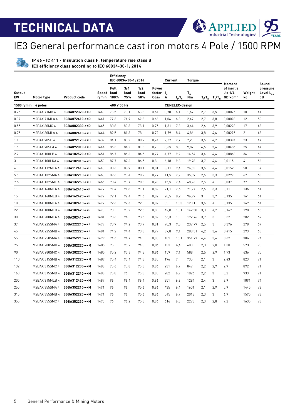60

**APPLIED** 

### IE3 General performance cast iron motors 4 Pole / 1500 RPM

**IP 66 - IC 411 - Insulation class F, temperature rise class B IE3 efficiency class according to IEC 60034-30-1; 2014**

|                     |                        |                     |                     | Efficiency   | IEC 60034-30-1; 2014 |                    |                                                    | Current |                       | Torque        |     |                                                                                                                     | Moment                                                      |              | Sound                                   |
|---------------------|------------------------|---------------------|---------------------|--------------|----------------------|--------------------|----------------------------------------------------|---------|-----------------------|---------------|-----|---------------------------------------------------------------------------------------------------------------------|-------------------------------------------------------------|--------------|-----------------------------------------|
| <b>Output</b><br>kW | Motor type             | <b>Product code</b> | Speed load<br>r/min | Full<br>100% | 3/4<br>load<br>75%   | 1/2<br>load<br>50% | Power<br>factor I <sub>N</sub><br>Cos <sub>Φ</sub> | A       | $I_{s}/I_{N}$         | $T_{N}$<br>Nm |     | $T_{\scriptscriptstyle\rm I}/T_{\scriptscriptstyle\rm N}$ $T_{\scriptscriptstyle\rm b}/T_{\scriptscriptstyle\rm N}$ | of inertia<br>$J = 1/4$<br>GD <sup>2</sup> kgm <sup>2</sup> | Weight<br>kq | pressure<br>Level L <sub>PA</sub><br>dB |
|                     | 1500 $r/min = 4$ poles |                     |                     | 400 V 50 Hz  |                      |                    |                                                    |         | <b>CENELEC-design</b> |               |     |                                                                                                                     |                                                             |              |                                         |
| 0.25                | M2BAX 71MB 4           | 3GBA072320-••D      | 1440                | 73.5         | 70.1                 | 63.8               | 0.64                                               | 0,78    | 6,1                   | 1.67          | 2.7 | 3.5                                                                                                                 | 0.00075                                                     | 10           | 41                                      |
| 0.37                | M2BAX 71MLA 4          | 3GBA072410-••D      | 1441                | 77,3         | 74,9                 | 69,8               | 0,66                                               | 1,06    | 6,8                   | 2,47          | 2,7 | 3,8                                                                                                                 | 0,00098                                                     | 12           | 50                                      |
| 0.55                | M2BAX 80MC 4           | 3GBA082330-••D      | 1445                | 80.8         | 80,8                 | 78,1               | 0,75                                               | 1,31    | 7,8                   | 3,64          | 2,6 | 3,9                                                                                                                 | 0,00228                                                     | 17           | 48                                      |
| 0.75                | M2BAX 80MLA 4          | 3GBA082410-••D      | 1444                | 82,5         | 81,3                 | 78                 | 0,72                                               | 1,79    | 8.4                   | 4,86          | 3,8 | 4,6                                                                                                                 | 0,00295                                                     | 21           | 48                                      |
| 1.1                 | M2BAX 90SB 4           | 3GBA092120-••D      | 1439                | 84.1         | 83.2                 | 80.9               | 0.74                                               | 2,57    | 7.7                   | 7,23          | 3,6 | 4,2                                                                                                                 | 0.00394                                                     | 23           | 47                                      |
| 1.5                 | M2BAX 90SLA 4          | 3GBA092010-••D      | 1444                | 85.3         | 84,2                 | 81.3               | 0,7                                                | 3,65    | 8,3                   | 9,87          | 4,6 | 5,4                                                                                                                 | 0,00485                                                     | 25           | 44                                      |
| 2.2                 | M2BAX 100LB 4          | 3GBA102520-••D      | 1451                | 86,7         | 86,6                 | 84,5               | 0,77                                               | 4,77    | 9,2                   | 14,54         | 3,4 | 4,4                                                                                                                 | 0,00863                                                     | 34           | 50                                      |
| 3                   | M2BAX 100LKA 4         | 3GBA102810-••D      | 1450                | 87.7         | 87,6                 | 86.5               | 0,8                                                | 6,18    | 9,8                   | 19,78         | 3,7 | 4,6                                                                                                                 | 0.0115                                                      | 41           | 56                                      |
| 4                   | M2BAX 112MLA 4         | 3GBA112410-••D      | 1443                | 88,6         | 88,9                 | 88,1               | 0,81                                               | 8,11    | 9,4                   | 26,53         | 3,6 | 4,4                                                                                                                 | 0.0152                                                      | 50           | 57                                      |
| 5.5                 | M2BAX 132SMA 4         | 3GBA132210-••D      | 1463                | 89,6         | 90,4                 | 90,2               | 0,77                                               | 11,5    | 7,9                   | 35,89         | 2,6 | 3,3                                                                                                                 | 0,0297                                                      | 67           | 68                                      |
| 7.5                 | M2BAX 132SME 4         | 3GBA132250-••D      | 1465                | 90,4         | 90,7                 | 90,3               | 0,78                                               | 15,5    | 7,4                   | 48,96         | 2,5 | $\overline{4}$                                                                                                      | 0,037                                                       | 77           | 60                                      |
| 11                  | M2BAX 160MLA 4         | 3GBA162410-••F      | 1477                | 91,4         | 91,8                 | 91,1               | 0,82                                               | 21,1    | 7,6                   | 71,27         | 2,6 | 3,3                                                                                                                 | 0,11                                                        | 136          | 61                                      |
| 15                  | M2BAX 160MLB 4         | 3GBA162420-••F      | 1477                | 92.1         | 92.4                 | 91.6               | 0.82                                               | 28.5    | 8.2                   | 96.99         | 3   | 3.7                                                                                                                 | 0.135                                                       | 161          | 61                                      |
| 18.5                | M2BAX 180MLA 4         | 3GBA182410-••F      | 1472                | 92,6         | 92,6                 | 92                 | 0,82                                               | 35      | 10,3                  | 120,1         | 3,6 | $\overline{4}$                                                                                                      | 0,135                                                       | 169          | 64                                      |
| 22                  | M2BAX 180MLB 4         | 3GBA182420-••F      | 1473                | 93           | 93,2                 | 92,5               | 0,8                                                | 42,8    | 10.1                  | 142,58        | 3,3 | 4,2                                                                                                                 | 0,167                                                       | 198          | 65                                      |
| 30                  | M2BAX 200MLA 4         | 3GBA202410-••F      | 1481                | 93,6         | 94                   | 93,5               | 0,82                                               | 56,3    | 10                    | 192,76        | 3,9 | 3                                                                                                                   | 0,32                                                        | 282          | 69                                      |
| 37                  | M2BAX 225SMA 4         | 3GBA222210-••F      | 1479                | 93.9         | 94,2                 | 93,7               | 0.81                                               | 70,3    | 9.3                   | 237,79        | 2.5 | 3                                                                                                                   | 0.376                                                       | 278          | 67                                      |
| 45                  | M2BAX 225SMB 4         | 3GBA222220-••F      | 1481                | 94,2         | 94,4                 | 93,8               | 0,79                                               | 87,8    | 9,1                   | 288,31        | 4,2 | 3,6                                                                                                                 | 0,415                                                       | 293          | 68                                      |
| 55                  | M2BAX 250SMA 4         | 3GBA252210-••F      | 1479                | 94,6         | 94,7                 | 94                 | 0,83                                               | 102     | 10,1                  | 351,77        | 4,4 | 3,4                                                                                                                 | 0,62                                                        | 386          | 74                                      |
| 75                  | M2BAX 280SMB 4         | 3GBA282220-••M      | 1485                | 95           | 95.2                 | 94.8               | 0.86                                               | 133     | 6,4                   | 483           | 2,3 | 2.8                                                                                                                 | 1.38                                                        | 573          | 75                                      |
| 90                  | M2BAX 280SMC 4         | 3GBA282230-••M      | 1485                | 95.2         | 95.3                 | 94.8               | 0.86                                               | 159     | 7.1                   | 588           | 2.5 | 2.9                                                                                                                 | 1.73                                                        | 636          | 75                                      |
| 110                 | M2BAX 315SMB 4         | 3GBA312220-••M      | 1489                | 95,4         | 95,4                 | 94,8               | 0,85                                               | 196     | 7                     | 705           | 2,1 | 3                                                                                                                   | 2,43                                                        | 823          | 71                                      |
| 132                 | M2BAX 315SMC 4         | 3GBA312230-••M      | 1488                | 95,6         | 95,8                 | 95,3               | 0,86                                               | 231     | 6,7                   | 847           | 2,2 | 2,9                                                                                                                 | 2,9                                                         | 892          | 71                                      |
| 160                 | M2BAX 315SMD 4         | 3GBA312240-••M      | 1488                | 95,8         | 96                   | 95,8               | 0,85                                               | 282     | 6,9                   | 1026          | 2,2 | 3                                                                                                                   | 3,2                                                         | 933          | 71                                      |
| 200                 | M2BAX 315MLB 4         | 3GBA312420-••M      | 1487                | 96           | 96.4                 | 96,4               | 0,86                                               | 351     | 6.8                   | 1284          | 2,4 | 3                                                                                                                   | 3.9                                                         | 1091         | 74                                      |
| 250                 | M2BAX 355SMA 4         | 3GBA352210-••M      | 1491                | 96           | 96                   | 95,6               | 0,86                                               | 435     | 6,4                   | 1601          | 2,1 | 2,9                                                                                                                 | 5,9                                                         | 1445         | 78                                      |
| 315                 | M2BAX 355SMB 4         | 3GBA352220-••M      | 1491                | 96           | 96                   | 95.6               | 0,86                                               | 545     | 6.7                   | 2018          | 2,3 | 3                                                                                                                   | 6.9                                                         | 1595         | 78                                      |
| 355                 | M2BAX 355SMC 4         | 3GBA352230-••M      | 1490                | 96           | 96,2                 | 95.8               | 0.86                                               | 616     | 6,3                   | 2273          | 2,3 | 2.8                                                                                                                 | 7,2                                                         | 1635         | 78                                      |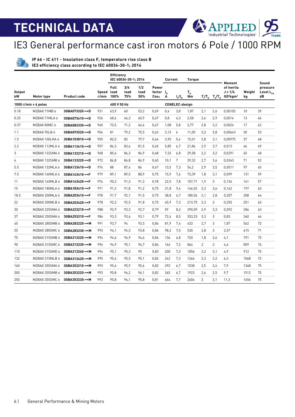IE3 General performance cast iron motors 6 Pole / 1000 RPM

**IP 66 - IC 411 - Insulation class F, temperature rise class B IE3 efficiency class according to IEC 60034-30-1; 2014**

|                     |                        |                          |                | <b>Efficiency</b>           | IEC 60034-30-1; 2014 |                    |                            | Current |                       | <b>Torque</b>                    |                |                                                                                                                     | Moment                                            |              | Sound                                   |
|---------------------|------------------------|--------------------------|----------------|-----------------------------|----------------------|--------------------|----------------------------|---------|-----------------------|----------------------------------|----------------|---------------------------------------------------------------------------------------------------------------------|---------------------------------------------------|--------------|-----------------------------------------|
| <b>Output</b><br>kW | Motor type             | <b>Product code</b>      | Speed<br>r/min | <b>Full</b><br>load<br>100% | 3/4<br>load<br>75%   | 1/2<br>load<br>50% | Power<br>factor I.<br>Cos⊕ | A       | $I_{s}/I_{N}$         | $T_{\scriptscriptstyle N}$<br>Nm |                | $T_{\scriptscriptstyle\rm I}/T_{\scriptscriptstyle\rm N}$ $T_{\scriptscriptstyle\rm b}/T_{\scriptscriptstyle\rm N}$ | of inertia<br>$J = 1/4$<br>$GD2$ kgm <sup>2</sup> | Weight<br>kg | pressure<br>Level L <sub>PA</sub><br>dB |
|                     | 1000 $r/min = 6$ poles |                          |                | 400 V 50 Hz                 |                      |                    |                            |         | <b>CENELEC-desian</b> |                                  |                |                                                                                                                     |                                                   |              |                                         |
| 0.18                | M2BAX 71MB 6           | 3GBA073320-••D           | 931            | 63.9                        | 60                   | 53.2               | 0.69                       | 0,6     | 3,8                   | 1,87                             | 2,1            | 2,6                                                                                                                 | 0.00103                                           | 10           | 39                                      |
| 0.25                | M2BAX 71MLA 6          | 3GBA073410-••D           | 926            | 68,6                        | 66,3                 | 60,9               | 0,67                       | 0,8     | 4,3                   | 2,58                             | 2.6            | 2,9                                                                                                                 | 0,0014                                            | 13           | 46                                      |
| 0.37                | M2BAX 80MC 6           | 3GBA083330-••D           | 940            | 73.5                        | 71.2                 | 66.4               | 0.67                       | 1.08    | 5,8                   | 3.77                             | 2.8            | 3,2                                                                                                                 | 0.0024                                            | 17           | 42                                      |
| 1.1                 | M2BAX 90LB 6           | 3GBA093520-••D           | 954            | 81                          | 79.2                 | 75,5               | 0,63                       | 3,13    | 6                     | 11,05                            | 3,3            | 3,8                                                                                                                 | 0,00643                                           | 30           | 53                                      |
| 1.5                 | M2BAX 100LKA 6         | 3GBA103810- $\bullet$ -D | 955            | 82.5                        | 82                   | 79.7               | 0.66                       | 3.95    | 5.4                   | 15.01                            | 2.8            | 3.1                                                                                                                 | 0.00975                                           | 37           | 48                                      |
| 2.2                 | M2BAX 112MLA 6         | 3GBA113410-••D           | 957            | 84,3                        | 83.6                 | 81.5               | 0,65                       | 5,85    | 6,7                   | 21,84                            | 2.9            | 3,7                                                                                                                 | 0,013                                             | 46           | 49                                      |
| 3                   | M2BAX 132SMA 6         | 3GBA133210-••D           | 968            | 85.6                        | 86.3                 | 84.9               | 0.68                       | 7.33    | 6.8                   | 29.58                            | 2.2            | 3.2                                                                                                                 | 0.0291                                            | 65           | 48                                      |
| 4                   | M2BAX 132SMB 6         | 3GBA133220-••D           | 972            | 86.8                        | 86.8                 | 84.9               | 0.65                       | 10,1    | 7                     | 39,32                            | 2,7            | 3.6                                                                                                                 | 0.0343                                            | 71           | 52                                      |
| 5.5                 | M2BAX 132MLA 6         | 3GBA133410-••D           | 974            | 88                          | 87,4                 | 86                 | 0,67                       | 13,5    | 7,3                   | 54,2                             | 2.9            | 3,5                                                                                                                 | 0.0511                                            | 97           | 65                                      |
| 7.5                 | M2BAX 160MLA 6         | 3GBA163410-••F           | 979            | 89.1                        | 89.5                 | 88.9               | 0,75                       | 15,9    | 7,6                   | 73,39                            | 1,8            | 3.1                                                                                                                 | 0.099                                             | 131          | 59                                      |
| 11                  | M2BAX 160MLB 6         | 3GBA163420-••F           | 976            | 90,3                        | 91,3                 | 91,3               | 0,78                       | 22,5    | 7,8                   | 107,71                           | 1,9            | 3                                                                                                                   | 0,134                                             | 161          | 57                                      |
| 15                  | M2BAX 180MLA 6         | 3GBA183410-••F           | 971            | 91,2                        | 91.8                 | 91,2               | 0,75                       | 31,8    | 9.4                   | 146,02                           | 2,3            | 3.6                                                                                                                 | 0.162                                             | 197          | 63                                      |
| 18.5                | M2BAX 200MLA 6         | 3GBA203410-••F           | 978            | 91,7                        | 92,1                 | 91,5               | 0,75                       | 38,8    | 6,7                   | 180,06                           | 2,1            | 2,8                                                                                                                 | 0,207                                             | 208          | 64                                      |
| 22                  | M2BAX 200MLB 6         | 3GBA203420-••F           | 978            | 92,2                        | 92,5                 | 91,8               | 0,75                       | 45,9    | 7,3                   | 213,75                           | 2,3            | 3                                                                                                                   | 0,255                                             | 251          | 62                                      |
| 30                  | M2BAX 225SMA 6         | 3GBA223210-••F           | 988            | 92,9                        | 93,3                 | 92,7               | 0.79                       | 59      | 8,2                   | 290,09                           | 2,9            | 3,3                                                                                                                 | 0,592                                             | 286          | 63                                      |
| 37                  | M2BAX 250SMA 6         | 3GBA253210-••F           | 986            | 93,3                        | 93,6                 | 93,1               | 0.79                       | 72,4    | 8,5                   | 353,33                           | 3,3            | 3                                                                                                                   | 0,83                                              | 360          | 64                                      |
| 45                  | M2BAX 280SMB 6         | 3GBA283220-••M           | 991            | 93.7                        | 94                   | 93.5               | 0.84                       | 81.9    | 7.4                   | 433                              | 2.7            | 3                                                                                                                   | 1.87                                              | 562          | 72                                      |
| 55                  | M2BAX 280SMC 6         | 3GBA283230-••M           | 993            | 94.1                        | 94,3                 | 93,8               | 0,86                       | 98,2    | 7,5                   | 530                              | 2,8            | 3                                                                                                                   | 2,57                                              | 615          | 71                                      |
| 75                  | M2BAX 315SMB 6         | 3GBA313220-••M           | 994            | 94,6                        | 94,9                 | 94,6               | 0,84                       | 136     | 6,8                   | 720                              | 1,8            | 2,6                                                                                                                 | 4,1                                               | 791          | 75                                      |
| 90                  | M2BAX 315SMC 6         | 3GBA313230-••M           | 994            | 94.9                        | 95.1                 | 94,7               | 0,84                       | 164     | 7,2                   | 864                              | $\overline{2}$ | 3                                                                                                                   | 4,6                                               | 859          | 76                                      |
| 110                 | M2BAX 315SMD 6         | 3GBA313240-••M           | 994            | 95,1                        | 95,3                 | 95                 | 0,83                       | 200     | 7,3                   | 1056                             | 2,2            | 3,1                                                                                                                 | 4,9                                               | 912          | 75                                      |
| 132                 | M2BAX 315MLB 6         | 3GBA313420-••M           | 995            | 95.4                        | 95.5                 | 95.1               | 0.82                       | 242     | 7.3                   | 1266                             | 2,3            | 3,2                                                                                                                 | 6,3                                               | 1068         | 72                                      |
| 160                 | M2BAX 355SMA 6         | 3GBA353210-••M           | 993            | 95,6                        | 95,9                 | 95,6               | 0,82                       | 292     | 6,7                   | 1538                             | 2,5            | 2,6                                                                                                                 | 7.9                                               | 1348         | 75                                      |
| 200                 | M2BAX 355SMB 6         | 3GBA353220-••M           | 993            | 95.8                        | 96.2                 | 96.1               | 0.82                       | 365     | 6.7                   | 1923                             | 2.6            | 2.5                                                                                                                 | 9.7                                               | 1512         | 75                                      |
| 250                 | M2BAX 355SMC 6         | 3GBA353230-••M           | 993            | 95.8                        | 96,1                 | 95.8               | 0,81                       | 464     | 7,7                   | 2404                             | 3              | 3.1                                                                                                                 | 11.3                                              | 1656         | 75                                      |

**APPLIED**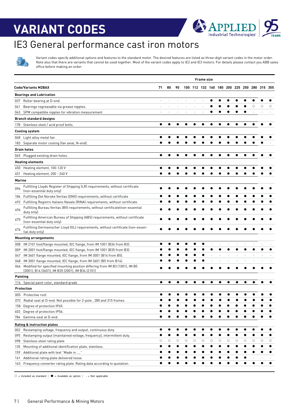## **VARIANT CODES**



# IE3 General performance cast iron motors



Variant codes specify additional options and features to the standard motor. The desired features are listed as three-digit variant codes in the motor order. Note also that there are variants that cannot be used together. Most of the variant codes apply to IE2 and IE3 motors. For details please contact you ABB sales office before making an order.

|        |                                                                                                                                 |    |         |    |   |   | <b>Frame size</b> |   |   |   |   |   |                                             |         |   |
|--------|---------------------------------------------------------------------------------------------------------------------------------|----|---------|----|---|---|-------------------|---|---|---|---|---|---------------------------------------------|---------|---|
|        | <b>Code/Variants M2BAX</b>                                                                                                      | 71 | 80      | 90 |   |   |                   |   |   |   |   |   | 100 112 132 160 180 200 225 250 280 315 355 |         |   |
|        | <b>Bearings and Lubrication</b>                                                                                                 |    |         |    |   |   |                   |   |   |   |   |   |                                             |         |   |
| 037    | Roller bearing at D-end.                                                                                                        |    |         |    |   |   |                   |   |   |   |   |   |                                             |         |   |
| 041    | Bearings regreasable via grease nipples.                                                                                        |    |         |    |   |   |                   |   |   |   |   |   | O                                           | $\circ$ | O |
| 043    | SPM compatible nipples for vibration measurement                                                                                | ×. |         |    |   |   |                   |   |   |   |   |   |                                             |         |   |
|        | <b>Branch standard designs</b>                                                                                                  |    |         |    |   |   |                   |   |   |   |   |   |                                             |         |   |
|        | 178 Stainless steel / acid proof bolts.                                                                                         | ●  |         |    |   |   |                   |   |   |   |   |   |                                             |         |   |
|        | <b>Cooling system</b>                                                                                                           |    |         |    |   |   |                   |   |   |   |   |   |                                             |         |   |
|        | 068 Light alloy metal fan                                                                                                       |    |         |    |   |   |                   |   |   |   |   |   |                                             |         |   |
|        | 183 Separate motor cooling (fan axial, N-end).                                                                                  |    |         |    |   |   |                   |   |   |   |   |   |                                             |         |   |
|        | <b>Drain holes</b>                                                                                                              |    |         |    |   |   |                   |   |   |   |   |   |                                             |         |   |
|        | 065 Plugged existing drain holes.                                                                                               |    |         |    |   |   |                   |   |   |   |   |   |                                             |         |   |
|        |                                                                                                                                 |    |         |    |   |   |                   |   |   |   |   |   |                                             |         |   |
|        | <b>Heating elements</b>                                                                                                         |    |         |    |   |   |                   |   |   |   |   |   |                                             |         |   |
| 450    | Heating element, 100-120 V<br>Heating element, 200 - 240 V                                                                      |    |         |    |   |   |                   |   |   |   |   |   |                                             |         |   |
| 451    |                                                                                                                                 |    |         |    |   |   |                   |   |   |   |   |   |                                             |         |   |
| Marine |                                                                                                                                 |    |         |    |   |   |                   |   |   |   |   |   |                                             |         |   |
| 096    | Fulfilling Lloyds Register of Shipping (LR) requirements, without certificate<br>(non-essential duty only)                      |    |         |    |   |   |                   |   |   |   |   |   |                                             |         |   |
| 186    | Fulfilling Det Norske Veritas (DNV) requirements, without certificate                                                           |    |         |    |   |   |                   |   |   |   |   |   |                                             |         |   |
| 492    | Fulfilling Registro Italiano Navale (RINA) requirements, without certificate.                                                   |    |         |    |   |   |                   |   |   |   |   |   |                                             |         |   |
| 496    | Fulfilling Bureau Veritas (BV) requirements, without certificate(non-essential<br>duty only)                                    |    |         |    |   |   |                   |   |   |   |   |   |                                             |         |   |
| 675    | Fulfilling American Bureau of Shipping (ABS) requirements, without certificate<br>(non-essential duty only)                     |    |         |    |   |   |                   |   |   |   |   |   |                                             |         |   |
| 676    | Fulfilling Germanischer Lloyd (GL) requirements, without certificate (non-essen-<br>tial duty only)                             |    |         |    |   |   |                   |   |   |   |   |   |                                             |         |   |
|        | <b>Mounting arrangements</b>                                                                                                    |    |         |    |   |   |                   |   |   |   |   |   |                                             |         |   |
| 008    | IM 2101 foot/flange mounted, IEC flange, from IM 1001 (B34 from B3).                                                            |    |         |    |   |   |                   |   |   |   |   |   |                                             |         |   |
| 009    | IM 2001 foot/flange mounted, IEC flange, from IM 1001 (B35 from B3).                                                            |    |         |    |   |   |                   |   |   |   |   |   |                                             |         |   |
| 047    | IM 3601 flange mounted, IEC flange, from IM 3001 (B14 from B5).                                                                 |    |         |    |   |   |                   |   |   |   |   |   |                                             |         |   |
| 048    | IM 3001 flange mounted, IEC flange, from IM 3601 (B5 from B14).                                                                 |    |         |    |   |   |                   |   |   |   |   |   |                                             |         |   |
| 066    | Modified for specified mounting position differing from IM B3 (1001), IM B5<br>(3001), B14 (3601), IM B35 (2001), IM B34 (2101) |    |         |    |   |   |                   |   |   |   |   |   |                                             |         |   |
|        | Painting                                                                                                                        |    |         |    |   |   |                   |   |   |   |   |   |                                             |         |   |
|        | 114 Special paint color, standard grade                                                                                         |    |         |    |   |   |                   |   |   |   |   |   |                                             |         |   |
|        | Protection                                                                                                                      |    |         |    |   |   |                   |   |   |   |   |   |                                             |         |   |
|        | 005 Protective roof.                                                                                                            |    |         |    |   |   |                   |   |   |   |   |   |                                             |         |   |
| 072    | Radial seal at D-end. Not possible for 2-pole, 280 and 315 frames                                                               |    |         |    |   |   |                   |   |   |   |   |   |                                             |         |   |
| 158    | Degree of protection IP65.                                                                                                      |    |         |    |   |   |                   |   |   |   |   |   |                                             |         |   |
| 403    | Degree of protection IP56.                                                                                                      |    |         |    |   |   |                   |   |   |   |   |   |                                             |         |   |
| 784    | Gamma-seal at D-end.                                                                                                            |    |         |    |   |   |                   |   |   |   |   |   |                                             |         |   |
|        | Rating & instruction plates                                                                                                     |    |         |    |   |   |                   |   |   |   |   |   |                                             |         |   |
| 002    | Restamping voltage, frequency and output, continuous duty.                                                                      |    |         | c  |   |   |                   |   |   |   |   |   |                                             |         |   |
| 095    | Restamping output (maintained voltage, frequency), intermittent duty.                                                           | e  |         |    |   |   |                   |   | e |   |   |   |                                             |         |   |
| 098    | Stainless steel rating plate                                                                                                    | О  | $\circ$ | О  | О | О | $\circ$           | О | О | О | O | О | О                                           | О       | О |
| 135    | Mounting of additional identification plate, stainless.                                                                         |    |         |    |   |   |                   |   | a |   |   |   |                                             |         |   |
| 159    | Additional plate with text "Made in "                                                                                           |    |         |    |   |   |                   |   |   |   |   |   |                                             |         |   |
| 161    | Additional rating plate delivered loose.                                                                                        |    |         |    |   |   |                   |   |   |   |   |   |                                             |         |   |
| 163    | Frequency converter rating plate. Rating data according to quotation.                                                           |    |         |    |   |   |                   |   |   |   |   |   |                                             |         |   |
|        |                                                                                                                                 |    |         |    |   |   |                   |   |   |   |   |   |                                             |         |   |

 $\circ$  = Included as standard | ● = Available as option | - = Not applicable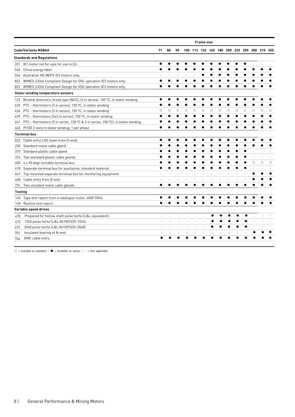|                                                                                         | <b>Frame size</b>        |    |         |         |         |         |         |         |         |         |   |         |                                             |         |
|-----------------------------------------------------------------------------------------|--------------------------|----|---------|---------|---------|---------|---------|---------|---------|---------|---|---------|---------------------------------------------|---------|
| <b>Code/Variants M2BAX</b>                                                              | 71                       | 80 | 90      |         |         |         |         |         |         |         |   |         | 100 112 132 160 180 200 225 250 280 315 355 |         |
| <b>Standards and Regulations</b>                                                        |                          |    |         |         |         |         |         |         |         |         |   |         |                                             |         |
| IE1 motor not for sale for use in EU<br>331                                             |                          |    |         |         |         |         |         |         |         |         |   |         |                                             |         |
| China energy label<br>540                                                               |                          |    |         |         |         |         |         |         |         |         |   |         |                                             |         |
| Australian HE MEPS IE3 motors only.<br>544                                              |                          |    |         |         |         |         |         |         |         |         |   |         |                                             |         |
| WIMES 3.03i6 Compliant Design for DOL operation IE3 motors only.<br>822                 |                          |    |         |         |         |         |         |         |         |         |   |         |                                             |         |
| WIMES 3.03i6 Compliant Design for VSD operation IE3 motors only.<br>823                 |                          |    |         |         |         |         |         |         |         |         |   |         |                                             |         |
| <b>Stator winding temperature sensors</b>                                               |                          |    |         |         |         |         |         |         |         |         |   |         |                                             |         |
| Bimetal detectors, break type (NCC), (3 in series), 150 °C, in stator winding<br>122    |                          |    |         |         |         |         |         |         |         |         |   |         |                                             |         |
| PTC - thermistors (3 in series), 130 °C, in stator winding<br>435                       |                          |    |         |         |         |         |         |         |         |         |   |         |                                             |         |
| PTC - thermistors (3 in series), 150 °C, in stator winding<br>436                       | O                        | О  | $\circ$ | $\circ$ | $\circ$ | $\circ$ | $\circ$ | $\circ$ | $\circ$ | $\circ$ | O | $\circ$ | O                                           | Ω       |
| PTC - thermistors (2x3 in series), 150 °C, in stator winding<br>439                     |                          |    |         |         |         |         |         |         |         |         |   |         |                                             |         |
| PTC - thermistors (3 in series, 130 °C & 3 in series, 150 °C), in stator winding<br>441 |                          |    |         |         |         |         |         |         |         |         |   |         |                                             |         |
| Pt100 2-wire in stator winding, 1 per phase<br>445                                      |                          |    |         |         |         |         |         |         |         |         |   |         |                                             |         |
| <b>Terminal box</b>                                                                     |                          |    |         |         |         |         |         |         |         |         |   |         |                                             |         |
| Cable entry LHS (seen from D-end).<br>022                                               |                          |    |         |         |         |         |         |         |         |         |   |         |                                             |         |
| Standard metal cable gland.<br>230                                                      |                          |    |         |         |         |         |         |         |         |         |   |         |                                             |         |
| Standard plastic cable gland<br>375                                                     |                          |    |         |         |         |         |         |         |         |         |   |         |                                             |         |
| Two standard plastic cable glands<br>376                                                |                          |    |         |         |         |         |         |         |         |         |   |         |                                             |         |
| 4 x 90 degr turnable terminal box.<br>400                                               |                          |    |         |         |         |         |         |         |         |         |   | $\circ$ | $\circ$                                     | $\circ$ |
| Separate terminal box for auxiliaries, standard material.<br>418                        |                          |    |         |         |         |         |         |         |         |         |   |         |                                             |         |
| Top mounted separate terminal box for monitoring equipment.<br>447                      |                          |    |         |         |         |         |         |         |         |         |   |         |                                             |         |
| Cable entry from D-end.<br>468                                                          |                          |    |         |         |         |         |         |         |         |         |   |         |                                             |         |
| Two standard metal cable glands.<br>731                                                 |                          |    |         |         |         |         |         |         |         |         |   |         |                                             |         |
| <b>Testing</b>                                                                          |                          |    |         |         |         |         |         |         |         |         |   |         |                                             |         |
| Type test report from a catalogue motor, 400V 50Hz.<br>145                              |                          |    |         |         |         |         |         |         |         |         |   |         |                                             |         |
| Routine test report.<br>148                                                             |                          |    |         |         |         |         |         |         |         |         |   |         |                                             |         |
| Variable speed drives                                                                   |                          |    |         |         |         |         |         |         |         |         |   |         |                                             |         |
| Prepared for hollow shaft pulse tacho (L&L equivalent).<br>470                          | $\overline{\phantom{m}}$ |    |         |         |         |         |         |         |         |         |   |         |                                             |         |
| 1024 pulse tacho (L&L 861007455-1024).<br>472                                           | ä,                       |    |         |         |         |         |         |         |         |         |   |         |                                             |         |
| 2048 pulse tacho (L&L 861007455-2048).<br>473                                           |                          |    |         |         |         |         |         |         |         |         |   |         |                                             |         |
| Insulated bearing at N-end.<br>701                                                      |                          |    |         |         |         |         |         |         |         |         |   |         |                                             |         |
| EMC cable entry.<br>704                                                                 |                          |    |         |         |         |         |         |         |         |         |   |         |                                             |         |
|                                                                                         |                          |    |         |         |         |         |         |         |         |         |   |         |                                             |         |

○ = Included as standard  $|$  ● = Available as option  $|$  - = Not applicable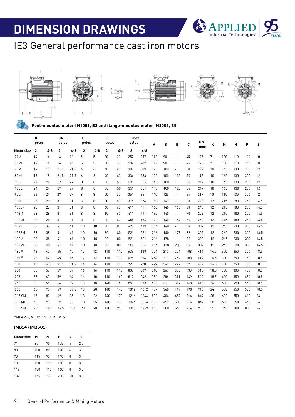

### IE3 General performance cast iron motors



**Foot-mounted motor IM1001, B3 and flange-mounted motor IM3001, B5**

|                   | D<br>poles     |         | GA<br>poles    |      | F<br>poles     |         | E<br>poles     |         | L max<br>poles |         | A   | в   | B'                       | C   | HD  | ĸ               | M   | N   | P   | S    |
|-------------------|----------------|---------|----------------|------|----------------|---------|----------------|---------|----------------|---------|-----|-----|--------------------------|-----|-----|-----------------|-----|-----|-----|------|
| Motor size        | $\overline{2}$ | $4 - 8$ | $\overline{2}$ | 4-8  | $\overline{2}$ | $4 - 8$ | $\overline{2}$ | $4 - 8$ | $\overline{2}$ | $4 - 8$ |     |     |                          |     | max |                 |     |     |     |      |
| 71M               | 14             | 14      | 16             | 16   | 5              | 5       | 30             | 30      | 257            | 257     | 112 | 90  | $\overline{\phantom{a}}$ | 45  | 175 | $7\overline{ }$ | 130 | 110 | 160 | 10   |
| 71ML              | 14             | 14      | 16             | 16   | 5              | 5       | 30             | 30      | 282            | 282     | 112 | 90  | $\overline{a}$           | 45  | 175 | 7               | 130 | 110 | 160 | 10   |
| 80M               | 19             | 19      | 21.5           | 21.5 | 6              | 6       | 40             | 40      | 309            | 309     | 125 | 100 | $\overline{\phantom{a}}$ | 50  | 192 | 10              | 165 | 130 | 200 | 12   |
| 80ML              | 19             | 19      | 21.5           | 21.5 | 6              | 6       | 40             | 40      | 334            | 334     | 125 | 100 | 112                      | 50  | 192 | 10              | 165 | 130 | 200 | 12   |
| 90S               | 24             | 24      | 27             | 27   | 8              | 8       | 50             | 50      | 335            | 335     | 140 | 100 | $\overline{\phantom{a}}$ | 56  | 217 | 10              | 165 | 130 | 200 | 12   |
| 90SL              | 24             | 24      | 27             | 27   | 8              | 8       | 50             | 50      | 351            | 351     | 140 | 100 | 125                      | 56  | 217 | 10              | 165 | 130 | 200 | 12   |
| 90L <sup>11</sup> | 24             | 24      | 27             | 27   | 8              | 8       | 50             | 50      | 351            | 351     | 140 | 125 | $\overline{\phantom{a}}$ | 56  | 217 | 10              | 165 | 130 | 200 | 12   |
| 100L              | 28             | 28      | 31             | 31   | 8              | 8       | 60             | 60      | 376            | 376     | 160 | 140 | $\overline{\phantom{a}}$ | 63  | 240 | 12              | 215 | 180 | 250 | 14.5 |
| 100LK             | 28             | 28      | 31             | 31   | 8              | 8       | 60             | 60      | 411            | 411     | 160 | 140 | 160                      | 63  | 240 | 12              | 215 | 180 | 250 | 14.5 |
| 112M              | 28             | 28      | 31             | 31   | 8              | 8       | 60             | 60      | 411            | 411     | 190 | 140 | $\overline{\phantom{a}}$ | 70  | 252 | 12              | 215 | 180 | 250 | 14.5 |
| 112ML             | 28             | 28      | 31             | 31   | 8              | 8       | 60             | 60      | 456            | 456     | 190 | 140 | 159                      | 70  | 252 | 12              | 215 | 180 | 250 | 14.5 |
| <b>132S</b>       | 38             | 38      | 41             | 41   | 10             | 10      | 80             | 80      | 479            | 479     | 216 | 140 | $\overline{\phantom{a}}$ | 89  | 302 | 12              | 265 | 230 | 300 | 14.5 |
| 132SM             | 38             | 38      | 41             | 41   | 10             | 10      | 80             | 80      | 521            | 521     | 216 | 140 | 178                      | 89  | 302 | 12              | 265 | 230 | 300 | 14.5 |
| 132M              | 38             | 38      | 41             | 41   | 10             | 10      | 80             | 80      | 521            | 521     | 216 | 178 | $\overline{\phantom{a}}$ | 89  | 302 | 12              | 265 | 230 | 300 | 14.5 |
| 132ML             | 38             | 38      | 41             | 41   | 10             | 10      | 80             | 80      | 586            | 586     | 216 | 178 | 203                      | 89  | 302 | 12              | 265 | 230 | 300 | 14.5 |
| 160 <sup>11</sup> | 42             | 42      | 45             | 45   | 12             | 12      | 110            | 110     | 639            | 639     | 254 | 210 | 254                      | 108 | 414 | 14.5            | 300 | 250 | 350 | 18.5 |
| $160^{21}$        | 42             | 42      | 45             | 45   | 12             | 12      | 110            | 110     | 696            | 696     | 254 | 210 | 254                      | 108 | 414 | 14.5            | 300 | 250 | 350 | 18.5 |
| 180               | 48             | 48      | 51.5           | 51.5 | 14             | 14      | 110            | 110     | 728            | 728     | 279 | 241 | 279                      | 121 | 454 | 14.5            | 300 | 250 | 350 | 18.5 |
| 200               | 55             | 55      | 59             | 59   | 16             | 16      | 110            | 110     | 809            | 809     | 318 | 267 | 305                      | 133 | 515 | 18.5            | 350 | 300 | 400 | 18.5 |
| 225               | 55             | 60      | 59             | 64   | 16             | 18      | 110            | 140     | 812            | 842     | 356 | 286 | 311                      | 149 | 560 | 18.5            | 400 | 350 | 450 | 18.5 |
| 250               | 60             | 65      | 64             | 69   | 18             | 18      | 140            | 140     | 853            | 853     | 406 | 311 | 349                      | 168 | 613 | 24              | 500 | 450 | 550 | 18.5 |
| 280               | 65             | 75      | 69             | 79.5 | 18             | 20      | 140            | 140     | 1012           | 1012    | 457 | 368 | 419                      | 190 | 710 | 24              | 500 | 450 | 550 | 18.5 |
| 315 SM            | 65             | 80      | 69             | 85   | 18             | 22      | 140            | 170     | 1216           | 1246    | 508 | 406 | 457                      | 216 | 849 | 28              | 600 | 550 | 660 | 24   |
| 315 ML            | 65             | 90      | 69             | 95   | 18             | 25      | 140            | 170     | 1326           | 1356    | 508 | 457 | 508                      | 216 | 849 | 28              | 600 | 550 | 660 | 24   |
| 355 SM            | 70             | 100     | 74.5           | 106  | 20             | 28      | 140            | 210     | 1399           | 1469    | 610 | 500 | 560                      | 254 | 933 | 35              | 740 | 680 | 800 | 24   |

1) MLA 2-6, MLB2 2) MLC, MLB4-6

#### **IMB14 (IM3601)**

| Motor size | м   | N   | Р   | s  | т   |
|------------|-----|-----|-----|----|-----|
| 71         | 85  | 70  | 105 | 6  | 2.5 |
| 80         | 100 | 80  | 120 | 6  | 3   |
| 90         | 115 | 95  | 140 | 8  | 3   |
| 100        | 130 | 110 | 160 | 8  | 3.5 |
| 112        | 130 | 110 | 160 | 8  | 3.5 |
| 132        | 165 | 130 | 200 | 10 | 3.5 |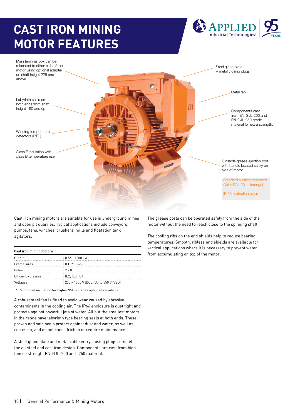# **CAST IRON MINING MOTOR FEATURES**





Cast iron mining motors are suitable for use in underground mines and open pit quarries. Typical applications include conveyors, pumps, fans, winches, crushers, mills and floatation tank agitators.

| Cast iron mining motors |                                       |
|-------------------------|---------------------------------------|
| Output                  | $0.55 - 1000$ kW                      |
| Frame sizes             | $E$ IEC 71 - 450                      |
| Poles                   | $: 2 - 8$                             |
| Efficiency classes      | E2.IE3.IE4                            |
| Voltages                | 230 - 1300 V (DOL) Up to 550 V (VSD)* |

\* Reinforced insulation for higher VSD voltages optionally available.

A robust steel fan is fitted to avoid wear caused by abrasive contaminants in the cooling air. The IP66 enclosure is dust tight and protects against powerful jets of water. All but the smallest motors in the range have labyrinth type bearing seals at both ends. These proven and safe seals protect against dust and water, as well as corrosion, and do not cause friction or require maintenance.

A steel gland plate and metal cable entry closing plugs complete the all steel and cast iron design. Components are cast from high tensile strength EN-GJL-200 and -250 material.

The grease ports can be operated safely from the side of the motor without the need to reach close to the spinning shaft.

The cooling ribs on the end shields help to reduce bearing temperatures. Smooth, ribless end shields are available for vertical applications where it is necessary to prevent water from accumulating on top of the motor.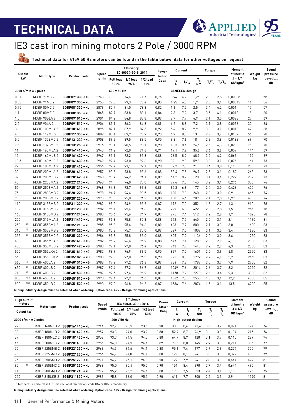

### IE3 cast iron mining motors 2 Pole / 3000 RPM

**Technical data for 415V 50 Hz motors can be found in the table below, data for other voltages on request**

| <b>Output</b> |      |                        |                     | Speed |                          | Efficiency<br>IEC 60034-30-1; 2014 |                 | Power                      |                                | Current               |               | <b>Torque</b>     |               | Moment<br>of inertia                          | Weight | Sound<br>pressure           |
|---------------|------|------------------------|---------------------|-------|--------------------------|------------------------------------|-----------------|----------------------------|--------------------------------|-----------------------|---------------|-------------------|---------------|-----------------------------------------------|--------|-----------------------------|
| kW            |      | Motor type             | <b>Product code</b> | r/min | <b>Full load</b><br>100% | 3/4 load<br>75%                    | 1/2 load<br>50% | factor<br>Cos <sub>Φ</sub> | $\mathsf{I}_{\mathsf{N}}$<br>A | $I_{s}/I_{N}$         | $T_{N}$<br>Nm | $T_{\nu}/T_{\nu}$ | $T_{b}/T_{N}$ | $J = 1/4$<br>GD <sup>2</sup> kgm <sup>2</sup> | kg     | Level L <sub>PA</sub><br>dB |
|               |      | $3000$ r/min = 2 poles |                     |       | 400 V 50 Hz              |                                    |                 |                            |                                | <b>CENELEC-design</b> |               |                   |               |                                               |        |                             |
| 0.37          |      | M3BP 71MC 2            | 3GBP071330-••L      | 2743  | 73,8                     | 74,4                               | 71.7            | 0.76                       | 0,94                           | 4,9                   | 1.26          | 2,3               | 2,8           | 0.00088                                       | 10     | 58                          |
| 0.55          |      | M3BP 71ME 2            | 3GBP071350-••L      | 2755  | 77,8                     | 79.3                               | 78,4            | 0,83                       | 1,25                           | 6,8                   | 1,9           | 2,8               | 3,1           | 0,00045                                       | 11     | 56                          |
| 0.75          |      | M3BP 80MC 2            | 3GBP081330-••L      | 2879  | 80,7                     | 81,0                               | 78,8            | 0,82                       | 1,6                            | 7,2                   | 2,5           | 3,4               | 4,2           | 0,001                                         | 17     | 57                          |
| 1.1           |      | M3BP 80ME 2            | 3GBP081350-••L      | 2865  | 82.7                     | 83,8                               | 83.1            | 0.84                       | 2.3                            | 7,2                   | 3.7           | 3,5               | 4,1           | 0,0012                                        | 18     | 60                          |
| 1.5           |      | M3BP 90SLA 2           | 3GBP091010-••L      | 2901  | 84,2                     | 84,8                               | 83,8            | 0,89                       | 2,9                            | 7,7                   | 4,9           | 2,1               | 3,5           | 0,0028                                        | 27     | 69                          |
| 2.2           |      | M3BP 90LA 2            | 3GBP091510-••L      | 2904  | 85,9                     | 86,3                               | 84,8            | 0,89                       | 4,2                            | 8,8                   | 7,2           | 3,1               | 3,8           | 0,0036                                        | 30     | 64                          |
| 3             |      | M3BP 100MLA 2          | 3GBP101410-••L      | 2895  | 87.1                     | 87,9                               | 87,3            | 0.92                       | 5.4                            | 8,2                   | 9.9           | 3,3               | 3,9           | 0,0013                                        | 42     | 68                          |
| 4             |      | M3BP 112ME 2           | 3GBP111350-••L      | 2882  | 88,1                     | 89.9                               | 90,9            | 0,93                       | 6,9                            | 8,3                   | 13            | 2,9               | 3,7           | 0,0139                                        | 56     | 70                          |
| 5.5           |      | M3BP 132SMC 2          | 3GBP131230-••L      | 2908  | 89,2                     | 89,5                               | 88,5            | 0,90                       | 9,8                            | 7,6                   | 18            | 2,3               | 3,8           | 0,0182                                        | 69     | 70                          |
| 7.5           |      | M3BP 132SME 2          | 3GBP131250-••L      | 2916  | 90.1                     | 90,5                               | 90,1            | 0,90                       | 13.3                           | 8,4                   | 24.6          | 2,5               | 4,3           | 0,0203                                        | 75     | 70                          |
| 11            |      | M3BP 160MLA 2          | 3GBP161410-••L      | 2943  | 91,2                     | 92,0                               | 91,6            | 0,91                       | 19,1                           | 7,2                   | 35,6          | 2,6               | 3,6           | 0,057                                         | 144    | 69                          |
| 15            |      | M3BP 160MLB 2          | 3GBP161420-••L      | 2947  | 91,9                     | 92,2                               | 91,8            | 0,88                       | 26,5                           | 8,2                   | 48,5          | 3,2               | 4,2           | 0,063                                         | 152    | 69                          |
| 18.5          |      | M3BP 160MLC 2          | 3GBP161430-••L      | 2949  | 92,4                     | 93,0                               | 92,6            | 0,90                       | 32                             | 9,0                   | 59.8          | 3,3               | 3,9           | 0,076                                         | 164    | 73                          |
| 22            |      | M3BP 180MLA 2          | 3GBP181410-••L      | 2956  | 92,7                     | 93,1                               | 92,7            | 0,90                       | 37,7                           | 7,8                   | 71            | 3,4               | 3,8           | 0,11                                          | 205    | 73                          |
| 30            |      | M3BP 200MLA 2          | 3GBP201410-••L      | 2957  | 93,3                     | 93,8                               | 93,6            | 0,88                       | 52,4                           | 7,5                   | 96,9          | 2,5               | 3,1           | 0,182                                         | 263    | 73                          |
| 37            |      | M3BP 200MLB 2          | 3GBP201420-••L      | 2960  | 93,7                     | 94.2                               | 94.1            | 0,89                       | 64,2                           | 8,2                   | 120           | 3,1               | 3,4           | 0,222                                         | 289    | 73                          |
| 45            |      | M3BP 225SMA 2          | 3GBP221210-••L      | 2968  | 94                       | 94,0                               | 93,0            | 0,87                       | 79.6                           | 7,3                   | 145           | 3,2               | 3,1           | 0,296                                         | 335    | 76                          |
| 55            |      | M3BP 250SMA 2          | 3GBP251210-••L      | 2968  | 94,3                     | 93,7                               | 93,6            | 0,89                       | 94.8                           | 6,8                   | 177           | 2,4               | 3,0           | 0,426                                         | 400    | 76                          |
| 75            |      | M3BP 280SMB 2          | 3GBP281220-••L      | 2978  | 94.7                     | 94,4                               | 93,5            | 0,88                       | 130                            | 7,0                   | 240           | 2,3               | 3,0           | 0,9                                           | 665    | 74                          |
| 90            |      | M3BP 280SMC 2          | 3GBP281230-••L      | 2975  | 95,0                     | 95,0                               | 94.2            | 0,88                       | 158                            | 6,4                   | 289           | 2,1               | 2,8           | 0,99                                          | 690    | 74                          |
| 110           |      | M3BP 315SMB 2          | 3GBP311220-••L      | 2982  | 95,2                     | 94.9                               | 93,9            | 0,87                       | 192                            | 7,0                   | 352           | 1,8               | 2,7           | 1,3                                           | 910    | 78                          |
| 132           |      | M3BP 315SMC 2          | 3GBP311230-••L      | 2982  | 95.4                     | 95,4                               | 94,6            | 0,87                       | 229                            | 6,8                   | 422           | 2,0               | 2,8           | 1,5                                           | 965    | 78                          |
| 160           |      | M3BP 315SMD 2          | 3GBP311240-••L      | 2983  | 95,6                     | 95,6                               | 94.9            | 0,87                       | 275                            | 7,4                   | 512           | 2,2               | 2,8           | 1,7                                           | 1025   | 78                          |
| 200           |      | M3BP 315MLA 2          | 3GBP311410-••L      | 2983  | 95,8                     | 95,8                               | 95,3            | 0,88                       | 342                            | 7,7                   | 640           | 2,5               | 3,1           | 2,1                                           | 1190   | 81                          |
| 250           | 2)   | M3BP 355SMA 2          | 3GBP351210-••L      | 2985  | 95,8                     | 95,6                               | 94,6            | 0,89                       | 423                            | 7,7                   | 800           | 2,1               | 3,3           | 3,0                                           | 1600   | 83                          |
| 315           | 2)   | M3BP 355SMB 2          | 3GBP351220-••L      | 2980  | 95,8                     | 95,7                               | 95,0            | 0,89                       | 529                            | 7,0                   | 1009          | 2,1               | 3,0           | 3,4                                           | 1680   | 83                          |
| 355           | 2)   | M3BP 355SMC 2          | 3GBP351230-••L      | 2984  | 95,8                     | 95,8                               | 95,0            | 0,88                       | 605                            | 7,2                   | 1136          | 2,2               | 3,0           | 3,6                                           | 1750   | 83                          |
| 400           |      | M3BP 355MLA 2          | 3GBP351410-••G      | 2982  | 96.9                     | 96,6                               | 95,9            | 0,88                       | 677                            | 7,1                   | 1280          | 2,3               | 2,9           | 4,1                                           | 2000   | 83                          |
| 450           |      | M3BP 355MLB 2          | 3GBP351420-••G      | 2983  | 97,1                     | 97,0                               | 96.4            | 0,90                       | 743                            | 7,9                   | 1440          | 2,2               | 2,9           | 4,3                                           | 2080   | 83                          |
| 500           |      | M3BP 355LKA 2          | 3GBP351810-••G      | 2982  | 96.9                     | 96,9                               | 96,5            | 0,90                       | 827                            | 7,5                   | 1601          | 2,0               | 3,9           | 4,8                                           | 2320   | 83                          |
| 560           |      | M3BP 355LKB 2          | 3GBP351820-••G      | 2983  | 97,0                     | 97.0                               | 96,5            | 0.90                       | 925                            | 8.0                   | 1792          | 2,2               | 4,1           | 5.2                                           | 2460   | 83                          |
| 560           | 2)   | M3BP 400LA 2           | 3GBP401510-••G      | 2988  | 97,2                     | 97,2                               | 96,6            | 0,89                       | 934                            | 7,8                   | 1789          | 2,5               | 3,7           | 7.9                                           | 2950   | 82                          |
| 630           | 2)   | M3BP 400LB 2           | 3GBP401520-••G      | 2987  | 97.4                     | 97,2                               | 96,7            | 0,89                       | 1049                           | 7,6                   | 2014          | 2,6               | 3,7           | 8,2                                           | 3050   | 82                          |
| 710           | 2)   | M3BP 400LC 2           | 3GBP401530-••G      | 2987  | 97,5                     | 97,4                               | 96,9            | 0,89                       | 1178                           | 7,2                   | 2270          | 2,6               | 3,4           | 9,3                                           | 3300   | 82                          |
| 800           | 1]2] | M3BP 450LA 2           | 3GBP451510-••G      | 2990  | 97,4                     | 97,2                               | 96,6            | 0,87                       | 1362                           | 7,8                   | 2555          | 1,3               | 3,4           | 12,2                                          | 4000   | 85                          |
| 900           | 1]2] | M3BP 450LB 2           | 3GBP451520-••G      | 2990  | 97.0                     | 96,8                               | 96,2            | 0,87                       | 1534                           | 7.6                   | 2874          | 1,5               | 3.1           | 13,5                                          | 4200   | 85                          |

**Mining industry design must be selected when ordering. Option code: 625 - Design for mining applications.**

| <b>High output</b><br>motors |               |                | Speed |                          | <b>Efficiency</b><br>IEC 60034-30-1: 2014 |                   | Power                      |         | Current            |          | Torque |     | Moment<br>of inertia                          | Weight | Sound<br>pressure        |
|------------------------------|---------------|----------------|-------|--------------------------|-------------------------------------------|-------------------|----------------------------|---------|--------------------|----------|--------|-----|-----------------------------------------------|--------|--------------------------|
| Output kW                    | Motor type    | Product code   | r/min | <b>Full load</b><br>100% | 3/4 load<br>75%                           | $1/2$ load<br>50% | factor<br>Cos <sub>Φ</sub> | 'N<br>А |                    | י"<br>Nm |        |     | $J = 1/4$<br>GD <sup>2</sup> kgm <sup>2</sup> | kg     | Level $L_{\rho_A}$<br>dB |
| $3000$ r/min = 2 poles       |               |                |       | 400 V 50 Hz              |                                           |                   |                            |         | High-output design |          |        |     |                                               |        |                          |
| 22                           | M3BP 160MLD 2 | 3GBP161440-••L | 2944  | 92,7                     | 93,5                                      | 93.5              | 0.90                       | 38      | 8,4                | 71,4     | 3,2    | 3.7 | 0,071                                         | 174    | 74                       |
| 30                           | M3BP 180MLB 2 | 3GBP181420-••L | 2957  | 93,3                     | 94,0                                      | 93.9              | 0,88                       | 52,7    | 8,7                | 96,9     | 3      | 3.8 | 0,104                                         | 215    | 74                       |
| 37                           | M3BP 180MLC 2 | 3GBP181430-••L | 2952  | 93.7                     | 94.5                                      | 94.5              | 0.88                       | 64,7    | 8.7                | 120      | 3.1    | 3.7 | 0.115                                         | 229    | 74                       |
| 45                           | M3BP 200MLC 2 | 3GBP201430-••L | 2955  | 94,0                     | 94.5                                      | 94,4              | 0.89                       | 77,6    | 8,0                | 145      | 2.9    | 3.3 | 0.214                                         | 305    | 77                       |
| 55                           | M3BP 225SMB 2 | 3GBP221220-••L | 2966  | 94,3                     | 94.6                                      | 94.1              | 0.88                       | 95,6    | 7.4                | 177      | 2.9    | 2.9 | 0.274                                         | 355    | 79                       |
| 75                           | M3BP 225SMC 2 | 3GBP221230-••L | 2966  | 94,7                     | 94.8                                      | 94,1              | 0.88                       | 129     | 8,1                | 241      | 3.3    | 3,0 | 0.329                                         | 408    | 79                       |
| 75                           | M3BP 250SMB 2 | 3GBP251220-••L | 2971  | 94.7                     | 95.1                                      | 94.8              | 0.90                       | 127     | 7.9                | 241      | 2,8    | 3.3 | 0.644                                         | 479    | 81                       |
| 90                           | M3BP 250SMC 2 | 3GBP251230-••L | 2968  | 95.0                     | 95.4                                      | 95.0              | 0.90                       | 151     | 8.4                | 290      | 2.7    | 3.4 | 0.644                                         | 495    | 81                       |
| 110                          | M3BP 280SMD 2 | 3GBP281240-••L | 2977  | 95,2                     | 95.2                                      | 94.4              | 0.88                       | 190     | 7.5                | 353      | 2.4    | 3.1 | 1.15                                          | 725    | 75                       |
| 250                          | M3BP 315LKB 2 | 3GBP311820-••L | 2983  | 95,8                     | 96,0                                      | 95,5              | 0,90                       | 419     | 7,7                | 800      | 2,5    | 3,3 | 2,9                                           | 1540   | 81                       |

<sup>1)</sup> Temperature rise class  $F^{2}$  Unidirectional fan, variant code 044 or 045 is mandatory

**Mining industry design must be selected when ordering. Option code: 625 - Design for mining applications.**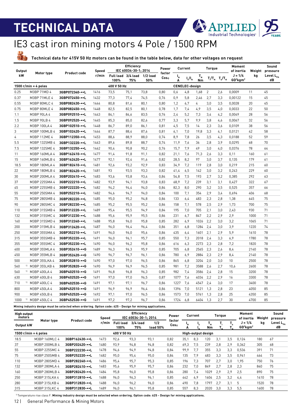$\frac{11}{20}$ 



### IE3 cast iron mining motors 4 Pole / 1500 RPM

**Technical data for 415V 50 Hz motors can be found in the table below, data for other voltages on request**

| <b>Output</b> |                             |                     | Speed |                            | Efficiency<br>IEC 60034-30-1; 2014 |                   | Power                      |         | Current               |               | <b>Torque</b>  |           | Moment<br>of inertia                          | Weight | Sound<br>pressure           |
|---------------|-----------------------------|---------------------|-------|----------------------------|------------------------------------|-------------------|----------------------------|---------|-----------------------|---------------|----------------|-----------|-----------------------------------------------|--------|-----------------------------|
| kW            | Motor type                  | <b>Product code</b> | r/min | Full load 3/4 load<br>100% | 75%                                | $1/2$ load<br>50% | factor<br>Cos <sub>Φ</sub> | ı'<br>A | $I_{s}/I_{N}$         | $T_{N}$<br>Nm | Т,/Т,          | $T_b/T_N$ | $J = 1/4$<br>GD <sup>2</sup> kgm <sup>2</sup> | kg     | Level L <sub>PA</sub><br>dB |
|               | 1500 $r/min = 4$ poles      |                     |       | 400 V 50 Hz                |                                    |                   |                            |         | <b>CENELEC-design</b> |               |                |           |                                               |        |                             |
| 0.25          | M3BP 71MD 4                 | 3GBP072340-••L      | 1416  | 73,5                       | 75,1                               | 73,8              | 0,80                       | 0,6     | 4,8                   | 1,68          | $\overline{2}$ | 2,6       | 0,0009                                        | 11     | 45                          |
| 0.37          | M3BP 71MLE 4                | 3GBP072450-••L      | 1432  | 77,3                       | 77,4                               | 74,5              | 0.76                       | 0.9     | 5,8                   | 2,46          | 2,7            | 3,3       | 0,00122                                       | 15     | 45                          |
| 0.55          | M3BP 80MLC 4                | 3GBP082430-••L      | 1444  | 80.8                       | 81,6                               | 80,1              | 0.80                       | 1,2     | 6,7                   | 4             | 3,0            | 3,5       | 0,0028                                        | 20     | 45                          |
| 0.75          | M3BP 80MLE 4                | 3GBP082450-••L      | 1448  | 82.5                       | 82,5                               | 80.1              | 0.78                       | 1.7     | 7,4                   | 4.9           | 3,5            | 4,0       | 0,0033                                        | 22     | 50                          |
| 1.1           | M3BP 90LA 4                 | 3GBP092510-••L      | 1443  | 84,1                       | 84,6                               | 83,5              | 0,76                       | 2,4     | 5,2                   | 7,3           | 3,4            | 4,2       | 0,0049                                        | 28     | 56                          |
| 1.5           | M3BP 90LB 4                 | 3GBP092520-••L      | 1445  | 85,3                       | 85,0                               | 82,6              | 0,77                       | 3,3     | 5,7                   | 9.9           | 3,8            | 4,6       | 0,0067                                        | 32     | 56                          |
| 2.2           | M3BP 100LA 4                | 3GBP102510-••L      | 1448  | 86,7                       | 89,0                               | 86,1              | 0,81                       | 4,5     | 7,5                   | 14            | 2,3            | 3,6       | 0,0109                                        | 38     | 56                          |
| 3             | M3BP 100MLB 4               | 3GBP102420-••L      | 1444  | 87.7                       | 88,4                               | 87,6              | 0.81                       | 6.1     | 7,0                   | 19.8          | 3,3            | 4,1       | 0,0121                                        | 42     | 58                          |
| 4             | M3BP 112ME 4                | 3GBP112350-••L      | 1453  | 88,6                       | 88,9                               | 88,0              | 0,74                       | 8,9     | 7,8                   | 26            | 3,5            | 4,3       | 0,0188                                        | 52     | 59                          |
| 5.5           | M3BP 132SMB 4               | 3GBP132220-••L      | 1463  | 89,6                       | 89,8                               | 88.7              | 0,74                       | 11.9    | 7,6                   | 36            | 2,8            | 3,9       | 0,0295                                        | 68     | 70                          |
| 7.5           | M3BP 132SME 4               | 3GBP132250-••L      | 1462  | 90.4                       | 90,8                               | 90.2              | 0,76                       | 15,7    | 7.9                   | 49            | 3,0            | 4,0       | 0,0376                                        | 78     | 64                          |
| 11            | M3BP 160MLA 4               | 3GBP162410-••L      | 1477  | 91.4                       | 91,8                               | 91.1              | 0.82                       | 21,1    | 7,6                   | 71.3          | 2,6            | 3,3       | 0,11                                          | 160    | 61                          |
| 15            | M3BP 160MLB 4               | 3GBP162420-••L      | 1477  | 92.1                       | 92,4                               | 91.6              | 0.82                       | 28.5    | 8.2                   | 97            | 3,0            | 3,7       | 0.135                                         | 179    | 61                          |
| 18.5          | M3BP 180MLA 4               | 3GBP182410-••L      | 1481  | 92,6                       | 93,2                               | 92.9              | 0,83                       | 34.9    | 7,2                   | 119           | 2,8            | 3,0       | 0,219                                         | 215    | 60                          |
| 22            | M3BP 180MLB 4               | 3GBP182420-••L      | 1481  | 93                         | 93,5                               | 93,3              | 0,82                       | 41,4    | 6,5                   | 142           | 3,0            | 3,2       | 0,243                                         | 229    | 60                          |
| 30            | M3BP 200MLA 4               | 3GBP202410-••L      | 1483  | 93,6                       | 93,8                               | 93,4              | 0.84                       | 54,8    | 7,5                   | 193           | 2,7            | 3,2       | 0,385                                         | 292    | 63                          |
| 37            | M3BP 225SMA 4               | 3GBP222210-••L      | 1482  | 93.9                       | 94,1                               | 93,8              | 0.83                       | 68.9    | 7,2                   | 239           | 3,1            | 3,1       | 0,427                                         | 322    | 67                          |
| 45            | M3BP 225SMB 4               | 3GBP222220-••L      | 1482  | 94.2                       | 94,4                               | 94,0              | 0,84                       | 82,3    | 8,0                   | 290           | 3,2            | 3,5       | 0,525                                         | 357    | 66                          |
| 55            | M3BP 250SMA 4               | 3GBP252210-••L      | 1482  | 94,6                       | 94.7                               | 94,0              | 0,84                       | 100     | 7,1                   | 354           | 2.9            | 3,4       | 0,694                                         | 406    | 68                          |
| 75            | M3BP 280SMB 4               | 3GBP282220-••L      | 1485  | 95.0                       | 95,2                               | 94,8              | 0,86                       | 133     | 6,4                   | 483           | 2,3            | 2,8       | 1,38                                          | 645    | 75                          |
| 90            | M3BP 280SMC 4               | 3GBP282230-••L      | 1485  | 95.2                       | 95,5                               | 95,2              | 0.86                       | 158     | 7,1                   | 578           | 2,5            | 2,9       | 1,73                                          | 700    | 75                          |
| 110           | M3BP 315SMB 4               | 3GBP312220-••L      | 1489  | 95,4                       | 95,5                               | 94.9              | 0,84                       | 195     | 7,0                   | 705           | 2,1            | 3,0       | 2,43                                          | 930    | 71                          |
| 132           | M3BP 315SMC 4               | 3GBP312230-••L      | 1488  | 95,6                       | 95,9                               | 95,5              | 0,86                       | 231     | 6,7                   | 847           | 2,2            | 2,9       | 2,9                                           | 1000   | 71                          |
| 160           | M3BP 315SMD 4               | 3GBP312240-••L      | 1488  | 95,8                       | 96,0                               | 95,8              | 0.85                       | 282     | 6,9                   | 1026          | 2,2            | 3,0       | 3,2                                           | 1065   | 71                          |
| 200           | M3BP 315MLB 4               | 3GBP312420-••L      | 1487  | 96.0                       | 96,4                               | 96,4              | 0.86                       | 351     | 6.8                   | 1284          | 2.4            | 3,0       | 3,9                                           | 1220   | 74                          |
| 250           | M3BP 355SMA 4               | 3GBP352210-••L      | 1491  | 96,0                       | 96,0                               | 95,6              | 0,86                       | 435     | 6,4                   | 1601          | 2,1            | 2,9       | 5,9                                           | 1610   | 78                          |
| 315           | M3BP 355SMB 4               | 3GBP352220-••L      | 1491  | 96,0                       | 96,1                               | 95.7              | 0,85                       | 550     | 7,3                   | 2018          | 2,4            | 3,3       | 6,9                                           | 1780   | 78                          |
| 355           | M3BP 355SMC 4               | 3GBP352230-••L      | 1490  | 96,0                       | 96,2                               | 95,8              | 0,86                       | 616     | 6,3                   | 2273          | 2,3            | 2,8       | 7,2                                           | 1820   | 78                          |
| 400           | M3BP 355MLA 4               | 3GBP352410-••G      | 1489  | 96,3                       | 96,3                               | 95,9              | 0.85                       | 705     | 6,8                   | 2565          | 2,3            | 2,6       | 8,4                                           | 2140   | 78                          |
| 450           | M3BP 355MLB 4               | 3GBP352420-••G      | 1490  | 96,7                       | 96,7                               | 96,1              | 0,86                       | 780     | 6,9                   | 2884          | 2,3            | 2.9       | 8,4                                           | 2140   | 78                          |
| 500           | M3BP 355LKA 4               | 3GBP352810-••G      | 1490  | 97,0                       | 97,0                               | 96,5              | 0,86                       | 865     | 6,8                   | 3204          | 2,0            | 3,0       | 10                                            | 2500   | 78                          |
| 560           | <sup>11</sup> M3BP 355LKB 4 | 3GBP352820-••G      | 1490  | 96.9                       | 96.9                               | 96,5              | 0.85                       | 981     | 7,2                   | 3588          | 2,6            | 2,7       | 10,6                                          | 2600   | 78                          |
| 560           | <sup>11</sup> M3BP 400LA 4  | 3GBP402510-••G      | 1491  | 96.8                       | 96,8                               | 96,3              | 0.85                       | 982     | 7,4                   | 3586          | 2,4            | 2,8       | 15                                            | 3200   | 78                          |
| 630           | M3BP 400LB 4                | 3GBP402520-••G      | 1491  | 97,0                       | 97,0                               | 96,5              | 0,87                       | 1077    | 7,6                   | 4034          | 2,2            | 2.9       | 16                                            | 3300   | 78                          |
| 710           | <sup>11</sup> M3BP 400LC 4  | 3GBP402530-••G      | 1491  | 97.1                       | 97,1                               | 96.7              | 0,86                       | 1227    | 7,6                   | 4547          | 2,4            | 3,0       | 17                                            | 3400   | 78                          |
| 800           | M3BP 450LA 4                | 3GBP452510-••G      | 1491  | 96.9                       | 96.9                               | 96,4              | 0,86                       | 1396    | 7,0                   | 5121          | 1,3            | 2,8       | 23                                            | 4050   | 85                          |
| 900           | M3BP 450LB 4                | 3GBP452520-••G      | 1492  | 97.1                       | 97,0                               | 96,5              | 0.86                       | 1573    | 7,0                   | 5761          | 1,3            | 2,8       | 25                                            | 4350   | 85                          |
| 1<br>1000     | M3BP 450LC 4                | 3GBP452530-••G      | 1491  | 97.2                       | 97.2                               | 96.7              | 0.86                       | 1724    | 6.8                   | 6404          | 1.3            | 2.7       | 30                                            | 4700   | 85                          |

**Mining industry design must be selected when ordering. Option code: 625 - Design for mining applications.**

| High output<br>motors  |               |                | Speed |                          | <b>Efficiency</b><br>IEC 60034-30-1: 2014 |                 | Power                      |      | Current            |                             | Torque |     | Moment<br>of inertia                | Weight | Sound<br>pressure           |
|------------------------|---------------|----------------|-------|--------------------------|-------------------------------------------|-----------------|----------------------------|------|--------------------|-----------------------------|--------|-----|-------------------------------------|--------|-----------------------------|
| <b>Output kW</b>       | Motor type    | Product code   | r/min | <b>Full load</b><br>100% | 3/4 load<br>75%                           | 1/2<br>load 50% | factor<br>Cos <sub>Φ</sub> | 'н   |                    | ' <sub>N</sub><br><b>Nm</b> |        |     | $J = 1/4$<br>$GD2$ kgm <sup>2</sup> | kg     | Level L <sub>PA</sub><br>dB |
| 1500 $r/min = 4$ poles |               |                |       | 400 V 50 Hz              |                                           |                 |                            |      | High-output design |                             |        |     |                                     |        |                             |
| 18.5                   | M3BP 160MLC 4 | 3GBP162430-••L | 1473  | 92,6                     | 93.3                                      | 93.1            | 0,82                       | 35.7 | 8.3                | 120                         | 3.1    | 3.5 | 0.124                               | 180    | 67                          |
| 37                     | M3BP 200MLB 4 | 3GBP202420-••L | 1480  | 93.9                     | 94.8                                      | 94,8            | 0,82                       | 69.3 | 7.5                | 239                         | 2,8    | 2.9 | 0.362                               | 305    | 68                          |
| 55                     | M3BP 225SMC 4 | 3GBP222230-••L | 1478  | 94,6                     | 94.9                                      | 94,8            | 0.84                       | 99.9 | 7.7                | 355                         | 3.3    | 3.3 | 0.536                               | 391    | 71                          |
| 75                     | M3BP 250SMB 4 | 3GBP252220-••L | 1482  | 95,0                     | 95.4                                      | 95,0            | 0.84                       | 135  | 7.9                | 483                         | 3.3    | 3.5 | 0.941                               | 464    | 73                          |
| 110                    | M3BP 280SMD 4 | 3GBP282240-••L | 1486  | 95,4                     | 95,7                                      | 95,3            | 0.85                       | 196  | 7,3                | 707                         | 2.7    | 3.0 | 1.95                                | 750    | 76                          |
| 132                    | M3BP 280MLA 4 | 3GBP282410-••L | 1483  | 95.6                     | 95.9                                      | 95.7            | 0.86                       | 232  | 7,0                | 849                         | 2.7    | 2.8 | 2.3                                 | 840    | 75                          |
| 160                    | M3BP 280MLB 4 | 3GBP282420-••L | 1484  | 95,8                     | 96,0                                      | 95,8            | 0.86                       | 280  | 7.4                | 1029                        | 2.9    | 2.9 | 2.5                                 | 890    | 75                          |
| 250                    | M3BP 315LKA 4 | 3GBP312810-••L | 1488  | 96,0                     | 96,3                                      | 96.1            | 0.85                       | 442  | 6.9                | 1604                        | 2.5    | 3.2 | 4.4                                 | 1410   | 78                          |
| 280                    | M3BP 315LKB 4 | 3GBP312820-••L | 1488  | 96,0                     | 96,2                                      | 96,0            | 0.86                       | 490  | 7.8                | 1797                        | 2.7    | 3.1 | 5                                   | 1520   | 78                          |
| 315                    | M3BP 315LKC 4 | 3GBP312830-••L | 1489  | 96,0                     | 96,1                                      | 95,8            | 0,85                       | 557  | 8,3                | 2020                        | 3,0    | 3,3 | 5,5                                 | 1600   | 78                          |

1) Temperature rise class F. **Mining industry design must be selected when ordering. Option code: 625 - Design for mining applications.**

12 | General Performance & Mining Motors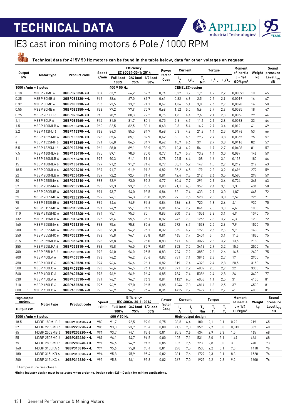

### IE3 cast iron mining motors 6 Pole / 1000 RPM

 $\frac{11}{20}$ **Technical data for 415V 50 Hz motors can be found in the table below, data for other voltages on request**

| <b>Output</b>                |               |                     | Speed |                                   | Efficiency<br>IEC 60034-30-1; 2014        |                          | Power         |                                | Current               |               | <b>Torque</b> |                                                                                                                                     | Moment<br>of inertia                          | Weight | Sound<br>pressure           |
|------------------------------|---------------|---------------------|-------|-----------------------------------|-------------------------------------------|--------------------------|---------------|--------------------------------|-----------------------|---------------|---------------|-------------------------------------------------------------------------------------------------------------------------------------|-----------------------------------------------|--------|-----------------------------|
| kW                           | Motor type    | <b>Product code</b> | r/min | <b>Full load</b><br>100%          | 75%                                       | 3/4 load 1/2 load<br>50% | factor<br>Cos | $\mathsf{I}_{\mathsf{N}}$<br>A | $I_{s}/I_{N}$         | $T_{N}$<br>Nm |               | $T_{\scriptscriptstyle\parallel}/T_{\scriptscriptstyle\parallel}$ $T_{\scriptscriptstyle\parallel}/T_{\scriptscriptstyle\parallel}$ | $J = 1/4$<br>GD <sup>2</sup> kgm <sup>2</sup> | kg     | Level L <sub>PA</sub><br>dB |
| 1000 $r/min = 6$ poles       |               |                     |       | 400 V 50 Hz                       |                                           |                          |               |                                | <b>CENELEC-design</b> |               |               |                                                                                                                                     |                                               |        |                             |
| 0.18                         | M3BP 71ME 6   | 3GBP073350-••L      | 887   | 63,9                              | 64,2                                      | 59.7                     | 0,74          | 0,57                           | 3,2                   | 1,9           | 1,9           | 2,2                                                                                                                                 | 0,00091                                       | 10     | 45                          |
| 0.25                         | M3BP 80MB 6   | 3GBP083320-••L      | 942   | 68,6                              | 67,0                                      | 61,7                     | 0,61          | 0,82                           | 4,8                   | 2,5           | 2,7           | 2,9                                                                                                                                 | 0,0019                                        | 14     | 47                          |
| 0.37                         | M3BP 80MC 6   | 3GBP083330-••L      | 936   | 73.5                              | 73,9                                      | 71.1                     | 0.67          | 1,06                           | 5,1                   | 3,8           | 2.6           | 2.9                                                                                                                                 | 0.0028                                        | 16     | 50                          |
| 0.55                         | M3BP 80ME 6   | 3GBP083350-••L      | 933   | 77,2                              | 77.9                                      | 75.9                     | 0,68          | 1,52                           | 5,0                   | 5,6           | 2,7           | 2.9                                                                                                                                 | 0,0035                                        | 18     | 47                          |
| 0.75                         | M3BP 90SLD 6  | 3GBP093040-••L      | 940   | 78.9                              | 80,3                                      | 79.2                     | 0,75          | 1,8                            | 4,4                   | 7,6           | 2.1           | 2.8                                                                                                                                 | 0,0056                                        | 29     | 44                          |
| 1.1                          | M3BP 90LF 6   | 3GBP093560-••L      | 944   | 81,0                              | 81,7                                      | 80,1                     | 0,75          | 2,6                            | 4.7                   | 11,1          | 2,1           | 2,8                                                                                                                                 | 0,0068                                        | 33     | 44                          |
| 1.5                          | M3BP 100MLB 6 | 3GBP103420-••L      | 960   | 82,5                              | 82,5                                      | 80,1                     | 0,68          | 3,8                            | 5,4                   | 14,9          | 2,7           | 3,4                                                                                                                                 | 0,012                                         | 41     | 49                          |
| 2.2                          | M3BP 112MJ 6  | 3GBP113390-••L      | 962   | 84,3                              | 85,5                                      | 84,7                     | 0,68          | 5.3                            | 4,2                   | 21,8          | 1,4           | 2,3                                                                                                                                 | 0.0196                                        | 53     | 66                          |
| 3                            | M3BP 132SMB 6 | 3GBP133220-••L      | 973   | 85,6                              | 85,1                                      | 82.9                     | 0,62          | 8                              | 6,6                   | 29,2          | 2,7           | 3,8                                                                                                                                 | 0,0355                                        | 75     | 57                          |
| $\overline{4}$               | M3BP 132SMF 6 | 3GBP133260-••L      | 971   | 86.8                              | 86,5                                      | 84.7                     | 0.62          | 10.7                           | 6.6                   | 39            | 2.7           | 3.8                                                                                                                                 | 0,0416                                        | 82     | 57                          |
| 5.5                          | M3BP 132SMJ 6 | 3GBP133290-••L      | 966   | 88,0                              | 89,1                                      | 88,9                     | 0,73          | 12,3                           | 4,2                   | 54            | 1,7           | 2,7                                                                                                                                 | 0,0408                                        | 81     | 57                          |
| 7.5                          | M3BP 160MLA 6 | 3GBP163410-••L      | 975   | 89,1                              | 90,0                                      | 90,0                     | 0,77          | 15,7                           | 5,7                   | 73,2          | 1,4           | 3,0                                                                                                                                 | 0,089                                         | 146    | 59                          |
| 11                           | M3BP 160MLB 6 | 3GBP163420-••L      | 975   | 90.3                              | 91.1                                      | 91.1                     | 0,78          | 22,5                           | 6.4                   | 108           | 1,6           | 3,1                                                                                                                                 | 0.138                                         | 180    | 64                          |
| 15                           | M3BP 180MLA 6 | 3GBP183410-••L      | 979   | 91,2                              | 91.9                                      | 91,6                     | 0,79          | 30,1                           | 5,2                   | 147           | 1,5           | 2,7                                                                                                                                 | 0,212                                         | 212    | 63                          |
| 18.5                         | M3BP 200MLA 6 | 3GBP203410-••L      | 989   | 91,7                              | 91,9                                      | 91,2                     | 0,82          | 35,2                           | 6,5                   | 179           | 2,2           | 3,2                                                                                                                                 | 0,496                                         | 272    | 59                          |
| 22                           | M3BP 200MLB 6 | 3GBP203420-••L      | 989   | 92,2                              | 92,4                                      | 91.4                     | 0,81          | 42,4                           | 7,3                   | 212           | 2,6           | 3,5                                                                                                                                 | 0,585                                         | 297    | 59                          |
| 30                           | M3BP 225SMA 6 | 3GBP223210-••L      | 988   | 92,9                              | 93,0                                      | 92,2                     | 0,77          | 60,4                           | 7,7                   | 291           | 2.9           | 3,6                                                                                                                                 | 0,724                                         | 349    | 63                          |
| 37                           | M3BP 250SMA 6 | 3GBP253210-••L      | 990   | 93,3                              | 93,7                                      | 93,5                     | 0,80          | 71,1                           | 6,5                   | 357           | 2,4           | 3,1                                                                                                                                 | 1,3                                           | 431    | 58                          |
| 45                           | M3BP 280SMB 6 | 3GBP283220-••L      | 991   | 93,7                              | 94,0                                      | 93,5                     | 0,84          | 82                             | 7,4                   | 433           | 2,7           | 3,0                                                                                                                                 | 1,87                                          | 645    | 72                          |
| 55                           | M3BP 280SMC 6 | 3GBP283230-••L      | 992   | 94,1                              | 94,3                                      | 93.8                     | 0.86          | 99                             | 7,5                   | 528           | 2,8           | 3.0                                                                                                                                 | 2,57                                          | 725    | 71                          |
| 75                           | M3BP 315SMB 6 | 3GBP313220-••L      | 994   | 94,6                              | 94.9                                      | 94,6                     | 0,84          | 136                            | 6,8                   | 720           | 1,8           | 2,6                                                                                                                                 | 4,1                                           | 930    | 75                          |
| 90                           | M3BP 315SMC 6 | 3GBP313230-••L      | 994   | 94.9                              | 95,1                                      | 94.7                     | 0.84          | 164                            | 7.2                   | 864           | 2.0           | 3,0                                                                                                                                 | 4,6                                           | 1000   | 76                          |
| 110                          | M3BP 315SMD 6 | 3GBP313240-••L      | 994   | 95,1                              | 95,3                                      | 95                       | 0,83          | 200                            | 7,3                   | 1056          | 2,2           | 3,1                                                                                                                                 | 4,9                                           | 1040   | 75                          |
| 132                          | M3BP 315MLB 6 | 3GBP313420-••L      | 995   | 95,4                              | 95,5                                      | 95,1                     | 0,82          | 242                            | 7,3                   | 1266          | 2,3           | 3,2                                                                                                                                 | 6,3                                           | 1200   | 72                          |
| 160                          | M3BP 355SMA 6 | 3GBP353210-••L      | 993   | 95,6                              | 95,8                                      | 95,6                     | 0,82          | 292                            | 6,7                   | 1538          | 2,5           | 2,6                                                                                                                                 | 7,9                                           | 1520   | 75                          |
| 200                          | M3BP 355SMB 6 | 3GBP353220-••L      | 993   | 95,8                              | 96,2                                      | 96.1                     | 0,82          | 365                            | 6,7                   | 1923          | 2,6           | 2,5                                                                                                                                 | 9,7                                           | 1680   | 75                          |
| 250                          | M3BP 355SMC 6 | 3GBP353230-••L      | 993   | 95.8                              | 96,1                                      | 95.8                     | 0.81          | 465                            | 7.7                   | 2404          | 3             | 3,1                                                                                                                                 | 11,3                                          | 1820   | 75                          |
| 315                          | M3BP 355MLB 6 | 3GBP353420-••L      | 993   | 95,8                              | 96,1                                      | 96,0                     | 0,83          | 571                            | 6,8                   | 3029          | 2,6           | 3,2                                                                                                                                 | 13,5                                          | 2180   | 76                          |
| 355                          | M3BP 355LKA 6 | 3GBP353810-++L      | 993   | 95,8                              | 96,0                                      | 95,9                     | 0,81          | 653                            | 7,5                   | 3413          | 2,9           | 3,2                                                                                                                                 | 15,5                                          | 2500   | 76                          |
| 400                          | M3BP 355LKB 6 | 3GBP353820-••G      | 992   | 96,0                              | 96,0                                      | 95.5                     | 0,83          | 724                            | 7,2                   | 3850          | 2,6           | 2,6                                                                                                                                 | 16,5                                          | 2600   | 75                          |
| 400                          | M3BP 400LA 6  | 3GBP403510-••G      | 993   | 96,2                              | 96,2                                      | 95.6                     | 0,82          | 731                            | 7.1                   | 3846          | 2,3           | 2,7                                                                                                                                 | 17                                            | 2900   | 76                          |
| 450                          | M3BP 400LB 6  | 3GBP403520-••G      | 994   | 96.6                              | 96,6                                      | 96.1                     | 0.82          | 819                            | 7.4                   | 4323          | 2.4           | 2.8                                                                                                                                 | 20.5                                          | 3150   | 76                          |
| 500                          | M3BP 400LC 6  | 3GBP403530-••G      | 993   | 96,6                              | 96,5                                      | 96,1                     | 0,83          | 891                            | 7,2                   | 4809          | 2,5           | 2,7                                                                                                                                 | 22                                            | 3300   | 76                          |
| 560                          | M3BP 400LD 6  | 3GBP403540-••G      | 993   | 96,9                              | 96,9                                      | 96.4                     | 0,85          | 984                            | 7,4                   | 5386          | 2,4           | 2,8                                                                                                                                 | 24                                            | 3400   | 77                          |
| 630                          | M3BP 450LA 6  | 3GBP453510-••G      | 994   | 96,7                              | 96.7                                      | 96,3                     | 0,84          | 1127                           | 6,5                   | 6053          | 1,1           | 2,5                                                                                                                                 | 31                                            | 4150   | 81                          |
| 710                          | M3BP 450LB 6  | 3GBP453520-••G      | 995   | 96,9                              | 97,0                                      | 96,5                     | 0,85          | 1244                           | 7,0                   | 6814          | 1,3           | 2.5                                                                                                                                 | 37                                            | 4500   | 81                          |
| 800<br>1]                    | M3BP 450LC 6  | 3GBP453530-••G      | 995   | 96.9                              | 96,9                                      | 96.4                     | 0.84          | 1415                           | 7,2                   | 7677          | 1,3           | 2,7                                                                                                                                 | 41                                            | 4800   | 81                          |
| <b>High output</b><br>motors |               |                     | Speed |                                   | <b>Efficiency</b><br>IEC 60034-30-1; 2014 |                          | Power         |                                | Current               |               | <b>Torque</b> |                                                                                                                                     | Moment<br>of inertia                          |        | Sound<br>Weight pressure    |
|                              | Motor type    | <b>Product code</b> |       | r/min Full load 3/6 load 1/2 load |                                           |                          | factor        |                                | л.                    | т.            | Τ.            | T                                                                                                                                   | $1 - 1/k$                                     | ka     | ا امعه ا                    |

| Output kW              | Motor type    | Product code   | r/min | <b>Full load</b><br>100% | 75%  | 3/4 load 1/2 load<br>50% | factor<br>Cos⊕ |      |                    | ' N<br><b>Nm</b> |     |     | $J = 1/4$<br>$GD^2$ kgm $^2$ | kg   | Level $L_{\rm{pa}}$<br>dB |
|------------------------|---------------|----------------|-------|--------------------------|------|--------------------------|----------------|------|--------------------|------------------|-----|-----|------------------------------|------|---------------------------|
| 1000 $r/min = 6$ poles |               |                |       | 400 V 50 Hz              |      |                          |                |      | High-output design |                  |     |     |                              |      |                           |
| 18.5                   | M3BP 180MLB 6 | 3GBP183420-••L | 980   | 91.7                     | 92,5 | 92.0                     | 0.75           | 38,8 | 6.4                | 180              | 2.1 | 3.1 | 0.22                         | 219  | 65                        |
| 37                     | M3BP 225SMB 6 | 3GBP223220-••L | 985   | 93,3                     | 93,7 | 93.4                     | 0.80           | 71.5 | 7.0                | 359              | 2.7 | 3.0 | 0.813                        | 382  | 68                        |
| 45                     | M3BP 250SMB 6 | 3GBP253220-••L | 991   | 93.7                     | 94.1 | 93.6                     | 0.81           | 85,5 | 7.6                | 434              | 2.9 | 3.3 | .5                           | 465  | 68                        |
| 55                     | M3BP 250SMC 6 | 3GBP253230-••L | 989   | 94,1                     | 94.7 | 94.5                     | 0.80           | 105  | 7,1                | 531              | 3.0 | 3.1 | .49                          | 466  | 68                        |
| 75                     | M3BP 280SMD 6 | 3GBP283240-••L | 991   | 94.6                     | 94.9 | 94.5                     | 0.85           | 135  | 7.6                | 723              | 2.8 | 3.0 | 3                            | 740  | 73                        |
| 160                    | M3BP 315LKA 6 | 3GBP313810-••L | 994   | 95,6                     | 95,8 | 95,4                     | 0.81           | 298  | 7.5                | 1535             | 2.2 | 3.1 | 7.3                          | 1410 | 76                        |
| 180                    | M3BP 315LKB 6 | 3GBP313820-••L | 994   | 95.8                     | 95,9 | 95.4                     | 0,82           | 331  | 7.6                | 1729             | 2.3 | 3.1 | 8.3                          | 1520 | 76                        |
| 200                    | M3BP 315LKC 6 | 3GBP313830-••L | 993   | 95,8                     | 96.1 | 95,8                     | 0,82           | 367  | 7.0                | 1923             | 2.2 | 2,8 | 9,2                          | 1600 | 76                        |

1) Temperature rise class F

**Mining industry design must be selected when ordering. Option code: 625 - Design for mining applications.**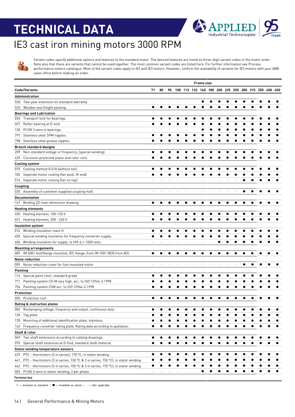

### IE3 cast iron mining motors 3000 RPM

Variant codes specify additional options and features to the standard motor. The desired features are listed as three-digit variant codes in the motor order. Note also that there are variants that cannot be used together. The most common variant codes are listed here. For further information see Process performance motors catalogue. Most of the variant codes apply to IE2 and IE3 motors. However, confirm the availability of variants for IE3 motors with your ABB sales office before making an order.

|     |                                                                                      |    |    |    |                                                     | <b>Frame size</b> |  |  |  |  |  |
|-----|--------------------------------------------------------------------------------------|----|----|----|-----------------------------------------------------|-------------------|--|--|--|--|--|
|     | <b>Code/Variants</b>                                                                 | 71 | 80 | 90 | 100 112 132 160 180 200 225 250 280 315 355 400 450 |                   |  |  |  |  |  |
|     | Administration                                                                       |    |    |    |                                                     |                   |  |  |  |  |  |
|     | 530 Two-year extension on standard warranty                                          |    |    |    |                                                     |                   |  |  |  |  |  |
|     | 533 Wooden sea freight packing                                                       |    |    |    |                                                     |                   |  |  |  |  |  |
|     | <b>Bearings and Lubrication</b>                                                      |    |    |    |                                                     |                   |  |  |  |  |  |
| 036 | Transport lock for bearings.                                                         |    |    |    |                                                     |                   |  |  |  |  |  |
| 037 | Roller bearing at D-end.                                                             |    |    |    |                                                     |                   |  |  |  |  |  |
| 130 | Pt100 3-wire in bearings.                                                            |    |    |    |                                                     |                   |  |  |  |  |  |
| 797 | Stainless steel SPM nipples                                                          |    |    |    |                                                     |                   |  |  |  |  |  |
|     | 798 Stainless steel grease nipples                                                   |    |    |    |                                                     |                   |  |  |  |  |  |
|     | <b>Branch standard designs</b>                                                       |    |    |    |                                                     |                   |  |  |  |  |  |
|     | 209 Non-standard voltage or frequency, (special winding).                            |    |    |    |                                                     |                   |  |  |  |  |  |
| 425 | Corrosion protected stator and rotor core.                                           |    |    |    |                                                     |                   |  |  |  |  |  |
|     | <b>Cooling system</b>                                                                |    |    |    |                                                     |                   |  |  |  |  |  |
|     | 075 Cooling method IC418 (without fan).                                              |    |    |    |                                                     |                   |  |  |  |  |  |
| 183 | Separate motor cooling (fan axial, N-end).                                           |    |    |    |                                                     |                   |  |  |  |  |  |
|     | 514 Separate motor cooling (fan on top)                                              |    |    |    |                                                     |                   |  |  |  |  |  |
|     |                                                                                      |    |    |    |                                                     |                   |  |  |  |  |  |
|     | Coupling                                                                             |    |    |    |                                                     |                   |  |  |  |  |  |
|     | 035 Assembly of customer supplied coupling-half.                                     |    |    |    |                                                     |                   |  |  |  |  |  |
|     | <b>Documentation</b>                                                                 |    |    |    |                                                     |                   |  |  |  |  |  |
| 141 | Binding 2D main dimension drawing.                                                   |    |    |    |                                                     |                   |  |  |  |  |  |
|     | <b>Heating elements</b>                                                              |    |    |    |                                                     |                   |  |  |  |  |  |
| 450 | Heating element, 100-120 V                                                           |    |    |    |                                                     |                   |  |  |  |  |  |
| 451 | Heating element, 200 - 240 V                                                         |    |    |    |                                                     |                   |  |  |  |  |  |
|     | Insulation system                                                                    |    |    |    |                                                     |                   |  |  |  |  |  |
|     | 014 Winding insulation class H.                                                      |    |    |    |                                                     |                   |  |  |  |  |  |
| 405 | Special winding insulation for frequency converter supply.                           |    |    |    |                                                     |                   |  |  |  |  |  |
| 406 | Winding insulation for supply $\rightarrow$ 690 $\leftarrow$ = 1000 volts            |    |    |    |                                                     |                   |  |  |  |  |  |
|     | <b>Mounting arrangements</b>                                                         |    |    |    |                                                     |                   |  |  |  |  |  |
|     | 009 IM 2001 foot/flange mounted, IEC flange, from IM 1001 (B35 from B3).             |    |    |    |                                                     |                   |  |  |  |  |  |
|     | <b>Noise reduction</b>                                                               |    |    |    |                                                     |                   |  |  |  |  |  |
| 055 | Noise reduction cover for foot mounted motor                                         |    |    |    |                                                     |                   |  |  |  |  |  |
|     | <b>Painting</b>                                                                      |    |    |    |                                                     |                   |  |  |  |  |  |
| 114 | Special paint color, standard grade                                                  |    |    |    |                                                     |                   |  |  |  |  |  |
| 711 | Painting system C5-M very high, acc. to ISO 12944-2:1998                             |    |    |    |                                                     |                   |  |  |  |  |  |
| 754 | Painting system C5M acc. to ISO 12944-2:1998                                         |    |    |    |                                                     |                   |  |  |  |  |  |
|     | <b>Protection</b>                                                                    |    |    |    |                                                     |                   |  |  |  |  |  |
|     | 005 Protective roof.                                                                 |    |    |    |                                                     |                   |  |  |  |  |  |
|     | <b>Rating &amp; instruction plates</b>                                               |    |    |    |                                                     |                   |  |  |  |  |  |
|     | 002 Restamping voltage, frequency and output, continuous duty.                       |    |    |    |                                                     |                   |  |  |  |  |  |
| 126 | Tag plate                                                                            |    |    |    |                                                     |                   |  |  |  |  |  |
| 135 | Mounting of additional identification plate, stainless.                              |    |    |    |                                                     |                   |  |  |  |  |  |
| 163 | Frequency converter rating plate. Rating data according to quotation.                |    |    |    |                                                     |                   |  |  |  |  |  |
|     | Shaft & rotor                                                                        |    |    |    |                                                     |                   |  |  |  |  |  |
| 069 | Two shaft extensions according to catalog drawings.                                  |    |    |    |                                                     |                   |  |  |  |  |  |
| 070 | Special shaft extension at D-End, standard shaft material                            |    |    |    |                                                     |                   |  |  |  |  |  |
|     | <b>Stator winding temperature sensors</b>                                            |    |    |    |                                                     |                   |  |  |  |  |  |
|     |                                                                                      |    |    |    |                                                     |                   |  |  |  |  |  |
| 437 | PTC - thermistors (3 in series), 170 °C, in stator winding                           |    |    |    |                                                     |                   |  |  |  |  |  |
| 441 | PTC - thermistors (3 in series, 130 °C & 3 in series, 150 °C), in stator winding     |    |    |    |                                                     |                   |  |  |  |  |  |
|     | 442 PTC - thermistors (3 in series, 150 °C & 3 in series, 170 °C), in stator winding |    |    |    |                                                     |                   |  |  |  |  |  |
| 503 | Pt100 3-wire in stator winding, 2 per phase                                          |    |    |    |                                                     |                   |  |  |  |  |  |
|     | <b>Terminal box</b>                                                                  |    |    |    |                                                     |                   |  |  |  |  |  |

 $\circ$  = Included as standard | ● = Available as option | - = Not applicable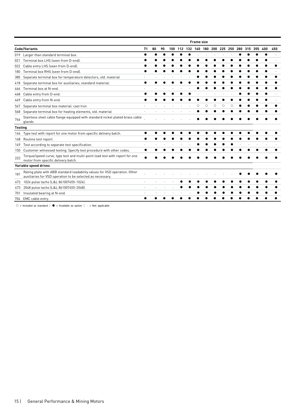|                |                                                                                                                                          |    |    |    |     |     | <b>Frame size</b> |   |         |         |   |                 |     |     |  |
|----------------|------------------------------------------------------------------------------------------------------------------------------------------|----|----|----|-----|-----|-------------------|---|---------|---------|---|-----------------|-----|-----|--|
|                | <b>Code/Variants</b>                                                                                                                     | 71 | 80 | 90 | 100 | 112 | 132 160 180       |   |         | 200 225 |   | 250 280 315 355 | 400 | 450 |  |
| 019            | Larger than standard terminal box.                                                                                                       |    |    |    |     |     |                   |   |         |         |   |                 |     |     |  |
| 021            | Terminal box LHS (seen from D-end).                                                                                                      |    |    |    |     |     |                   |   |         |         |   |                 |     |     |  |
| 022            | Cable entry LHS (seen from D-end).                                                                                                       |    |    |    |     |     |                   |   |         |         |   |                 |     |     |  |
| 180            | Terminal box RHS (seen from D-end).                                                                                                      |    |    |    |     |     |                   |   |         |         |   |                 |     |     |  |
| 380            | Separate terminal box for temperature detectors, std. material                                                                           |    |    |    |     |     |                   |   |         |         |   |                 |     |     |  |
| 418            | Separate terminal box for auxiliaries, standard material.                                                                                |    |    |    |     |     |                   |   |         |         |   |                 |     |     |  |
| 466            | Terminal box at N-end.                                                                                                                   |    |    |    |     |     |                   |   |         |         |   |                 |     |     |  |
| 468            | Cable entry from D-end.                                                                                                                  |    |    |    |     |     |                   |   |         |         |   |                 |     |     |  |
| 469            | Cable entry from N-end.                                                                                                                  |    |    |    |     |     |                   |   |         |         |   |                 |     |     |  |
| 567            | Separate terminal box material: cast Iron                                                                                                |    |    |    |     |     | Ω                 | Ω | $\circ$ | Ω       | Ω |                 |     |     |  |
| 568            | Separate terminal box for heating elements, std. material                                                                                |    |    |    |     |     |                   |   |         |         |   |                 |     |     |  |
| 746            | Stainless steel cable flange equipped with standard nickel plated brass cable<br>glands                                                  |    |    |    |     |     |                   |   |         |         |   |                 |     |     |  |
| <b>Testing</b> |                                                                                                                                          |    |    |    |     |     |                   |   |         |         |   |                 |     |     |  |
| 146            | Type test with report for one motor from specific delivery batch.                                                                        |    |    |    |     |     |                   |   |         |         |   |                 |     |     |  |
| 148            | Routine test report.                                                                                                                     |    |    |    |     |     |                   |   |         |         |   |                 |     |     |  |
| 149            | Test according to separate test specification.                                                                                           |    |    |    |     |     |                   |   |         |         |   |                 |     |     |  |
| 150            | Customer witnessed testing. Specify test procedure with other codes.                                                                     |    |    |    |     |     |                   |   |         |         |   |                 |     |     |  |
| 222            | Torque/speed curve, type test and multi-point load test with report for one<br>motor from specific delivery batch.                       |    |    |    |     |     |                   |   |         |         |   |                 |     |     |  |
|                | Variable speed drives                                                                                                                    |    |    |    |     |     |                   |   |         |         |   |                 |     |     |  |
| 181            | Rating plate with ABB standard loadability values for VSD operation. Other<br>auxiliaries for VSD operation to be selected as necessary. |    |    |    |     |     |                   |   |         |         |   |                 |     |     |  |
| 472            | 1024 pulse tacho (L&L 861007455-1024).                                                                                                   |    |    |    |     |     |                   |   |         |         |   |                 |     |     |  |
| 473            | 2048 pulse tacho (L&L 861007455-2048).                                                                                                   |    |    |    |     |     |                   |   |         |         |   |                 |     |     |  |
| 701            | Insulated bearing at N-end.                                                                                                              |    |    |    |     |     |                   |   |         |         |   |                 |     |     |  |
|                | 704 EMC cable entry.                                                                                                                     |    |    |    |     |     |                   |   |         |         |   |                 |     |     |  |

○ = Included as standard  $|$  ● = Available as option  $|$  - = Not applicable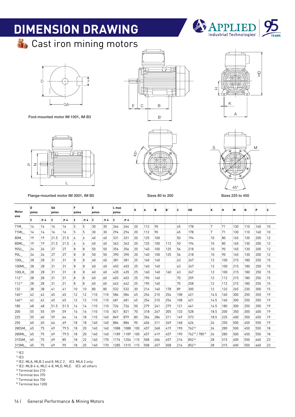# **DIMENSION DRAWING**



**St** Cast iron mining motors



Foot-mounted motor IM 1001, IM B3



Flange-mounted motor IM 3001, IM B5 Sizes 80 to 200 Sizes 225 to 450







Sizes 80 to 200

45°

| Motor              | 'n<br>poles    |     | GΔ<br>poles |       | F<br>poles |                  | F<br>poles |           | L max<br>poles |       | n              | ٨    | Β    | ÷Β,  | ١C   | HD                                     | к     | ١Н               | м    | ÷Ν   | P    | ÷۶               |
|--------------------|----------------|-----|-------------|-------|------------|------------------|------------|-----------|----------------|-------|----------------|------|------|------|------|----------------------------------------|-------|------------------|------|------|------|------------------|
| size               | $\mathbf{2}$   | 74  | :2          | 74    | :2         | <b>74</b>        | - 2        | <b>74</b> | 12             | 74    |                |      |      |      |      |                                        |       |                  |      |      |      |                  |
| 71M                | 14             | 14  | :16         | :16   | 5          | :5               | :30        | 30        | 264            | :264  | $\frac{1}{2}$  | 112  | :90  |      | :45  | 178                                    | :7    | :71              | 130  | 110  | 160  | ់10              |
| 71ML               | 14             | 14  | :16         | :16   | :5         | 15               | :30        | :30       | 1294           | 1294  | $\frac{1}{2}$  | 112  | -90  |      | :45  | 178                                    | :7    | $\frac{1}{2}$ 71 | 130  | 110  | :160 | 10               |
| 80M                | 19             | 19  | 21.5        | :21.5 | : 6        | :6               | :40        | :40       | :331           | 331   | $\frac{1}{2}$  | 125  | 100  |      | :50  | 194                                    | :10   | :80              | 165  | 130  | 200  | $\frac{1}{2}$    |
| 80ML               | 19             | 19  | 21.5        | 21.5  | :6         | 6                | :40        | 40        | :363           | 363   | :20            | 125  | 100  | 112  | 50   | 194                                    | 10    | :80              | 165  | 130  | 200  | $\frac{1}{2}$    |
| 90SL               | :24            | 24  | 27          | 27    | :8         | 8                | :50        | 50        | 356            | 356   | $\frac{1}{2}$  | :140 | 100  | 125  | :56  | 218                                    | 10    | :90              | 165  | 130  | 200  | $\frac{1}{2}$    |
| 90L                | 24             | 24  | 27          | :27   | :8         | 8                | 50         | 50        | 390            | :390  | $\frac{1}{2}$  | 140  | 100  | 125  | 56   | 218                                    | 10    | 90               | 165  | 130  | 200  | $\frac{1}{2}$    |
| 100L               | :28            | 28  | ։31         | :31   | :8         | :8               | : 60       | :60       | 381            | 381   | $\frac{1}{25}$ | 160  | 140  |      | : 63 | 247                                    | 12    | 100              | 215  | 180  | 250  | $\frac{1}{2}$ 15 |
| 100ML              | $\frac{1}{28}$ | 28  | :31         | 131   | :8         | 8                | :60        | 60        | 403            | 403   | :25            | 160  | 140  |      | :63  | 247                                    | 12    | 100              | 215  | 180  | 250  | $\frac{1}{2}$ 15 |
| 100LK              | 28             | 28  | :31         | :31   | 8          | ί8               | 60         | 60        | 435            | 435   | 25             | 160  | 140  | 160  | 63   | 247                                    | 12    | 100              | 215  | 180  | 250  | $\frac{1}{2}$ 15 |
| $112^{11}$         | 28             | 28  | ։31         | :31   | :8         | :8               | :60        | 60        | 403            | 403   | :25            | 190  | 140  |      | :70  | 259                                    | :12   | 112              | :215 | 180  | 250  | 15               |
| $112^{12}$         | 28             | 28  | ։31         | ։31   | :8         | $\mathbf{g}$     | :60        | 60        | 442            | 442   | 25             | 190  | 140  |      | :70  | 258                                    | 12    | 112              | :215 | 180  | 250  | $\frac{1}{2}$ 15 |
| 132                | 38             | 38  | :41         | 41    | :10        | $\frac{1}{2}$ 10 | :80        | 80        | :532           | :532  | 30             | :216 | 140  | 178  | 89   | 300                                    | 12    | 132              | 265  | :230 | :300 | 15               |
| $160^{13}$         | 42             | 42  | 45          | :45   | 12         | 12               | 110        | 110       | :584           | :584  | :45            | :254 | 1210 | 254  | 108  | 421                                    | :14.5 | 160              | 300  | 250  | 350  | 19               |
| 160 <sup>(4)</sup> | 42             | 42  | 45          | 45    | 12         | 12               | 110        | 110       | :681           | :681  | :45            | 254  | 1210 | 254  | 108  | 421                                    | :14.5 | 160              | :300 | 1250 | 350  | $\frac{1}{2}$ 19 |
| 180                | :48            | 48  | :51.5       | :51.5 | :14        | :14              | 110        | 110       | :726           | :726  | .50            | 279  | :241 | :279 | 121  | 461                                    | 14.5  | 180              | :300 | :250 | 350  | $\frac{1}{2}$ 19 |
| 200                | 55             | 55  | :59         | :59   | :16        | 16               | 110        | 110       | 821            | 821   | :70            | 318  | 1267 | 305  | 133  | 528                                    | 18.5  | 1200             | 350  | 300  | 400  | $\frac{1}{2}$ 19 |
| 225                | 55             | 60  | 59          | 64    | :16        | $\frac{1}{2}$ 18 | 110        | 140       | :849           | 879   | :80            | 356  | :286 | 311  | 149  | 573                                    | 18.5  | 225              | 400  | 350  | 450  | $\frac{1}{2}$ 19 |
| 250                | 60             | 65  | :64         | :69   | 18         | :18              | :140       | 140       | :884           | :884  | :90            | :406 | 311  | 349  | 168  | 626                                    | 24    | 250              | 500  | 450  | 550  | $\frac{1}{2}$ 19 |
| 280SM              | : 65           | :75 | :69         | .79.5 | ਂ 18       | $\frac{1}{2}$    | :140       | 140       | 1088           | 1088  | 100            | :457 | 368  | :419 | 190  | $.762^{15}$                            | 24    | 280              | :500 | :450 | 550  | ∄18              |
| 280ML              | :65            | 75  | 69          | :79.5 | ਂ 18       | $\frac{1}{2}$    | 140        | 140       | 1189           | :1189 | 100            | :457 | 1419 | :457 | 190  | :762 <sup>15</sup> / 785 <sup>16</sup> | 24    | 280              | 500  | :450 | 550  | ਂ 18             |
| 315SM              | :65            | :75 | 69          | 85    | :18        | 22               | 140        | 170       | 1174           | 1204  | 115            | 508  | :406 | .457 | 216  | 8526                                   | 28    | 315              | 600  | :550 | :660 | :23              |
| 315ML              | :65            | 75  | 69          | 95    | :18        | .25              | 140        | 170       | 1285           | 1315  | 115            | :508 | 1457 | 508  | :216 | 8526                                   | :28   | 1315             | :600 | 550  | 660  | :23              |

 $1)$  IE2 2) IE3

 $3$  IE2: MLA, MLB 2 and 8, MLC 2. IE3: MLA 2 only

4) IE2: MLB 4-6, MLC 4-8, MLD, MLE. IE3: all others

5) Terminal box 210

6) Terminal box 370

7) Terminal box 750

8) Terminal box 1200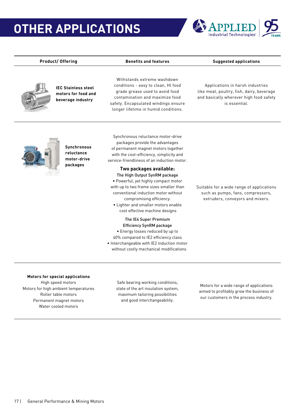### **OTHER APPLICATIONS**



Product/ Offering **Benefits and features** Suggested applications



**IEC Stainless steel motors for food and beverage industry**

Withstands extreme washdown conditions - easy to clean, Hl food grade grease used to avoid food contamination and maximize food safety. Encapsulated windings ensure longer lifetime in humid conditions.

Applications in harsh industries like meat, poultry, fish, dairy, beverage and basically wherever high food safety is essential.



**Synchronous reluctance motor-drive packages**

Synchronous reluctance motor-drive packages provide the advantages of permanent magnet motors together with the cost-efficiency, simplicity and service-friendliness of an induction motor.

#### **Two packages available:** The High Output SynRM package

• Powerful, yet highly compact motor with up to two frame sizes smaller than conventional induction motor without compromising efficiency.

• Lighter and smaller motors enable cost effective machine designs

#### The IE4 Super Premium Efficiency SynRM package

• Energy losses reduced by up to 40% compared to IE2 efficiency class

• Interchangeable with IE2 induction motor without costly mechanical modifications

Suitable for a wide range of applications such as pumps, fans, compressors, extruders, conveyors and mixers.

#### **Motors for special applications**

High speed motors Motors for high ambient temperatures Roller table motors Permanent magnet motors Water cooled motors

Safe bearing working conditions, state of the art insulation system, maximum tailoring possibilities and good interchangeability.

Motors for a wide range of applications aimed to profitably grow the business of our customers in the process industry.